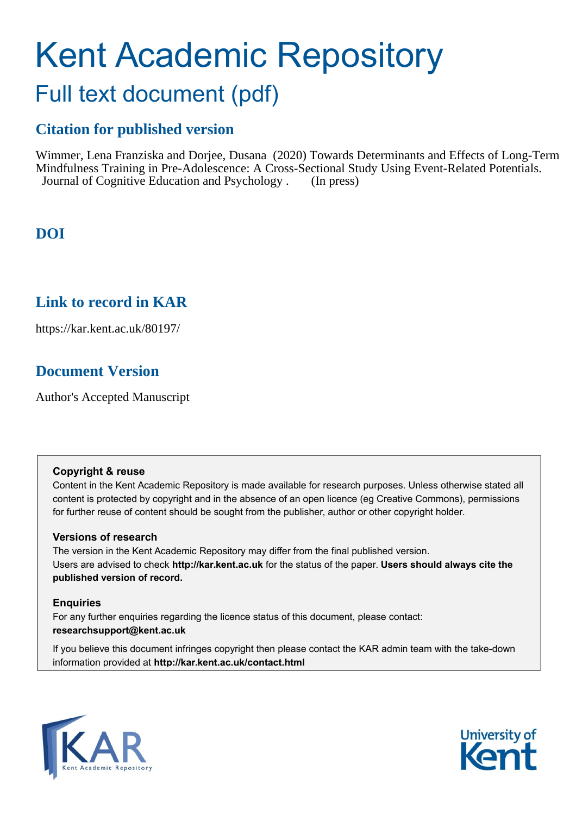# Kent Academic Repository

## Full text document (pdf)

### **Citation for published version**

Wimmer, Lena Franziska and Dorjee, Dusana (2020) Towards Determinants and Effects of Long-Term Mindfulness Training in Pre-Adolescence: A Cross-Sectional Study Using Event-Related Potentials. Journal of Cognitive Education and Psychology . (In press)

### **DOI**

### **Link to record in KAR**

https://kar.kent.ac.uk/80197/

### **Document Version**

Author's Accepted Manuscript

### **Copyright & reuse**

Content in the Kent Academic Repository is made available for research purposes. Unless otherwise stated all content is protected by copyright and in the absence of an open licence (eg Creative Commons), permissions for further reuse of content should be sought from the publisher, author or other copyright holder.

### **Versions of research**

The version in the Kent Academic Repository may differ from the final published version. Users are advised to check **http://kar.kent.ac.uk** for the status of the paper. **Users should always cite the published version of record.**

### **Enquiries**

For any further enquiries regarding the licence status of this document, please contact: **researchsupport@kent.ac.uk**

If you believe this document infringes copyright then please contact the KAR admin team with the take-down information provided at **http://kar.kent.ac.uk/contact.html**



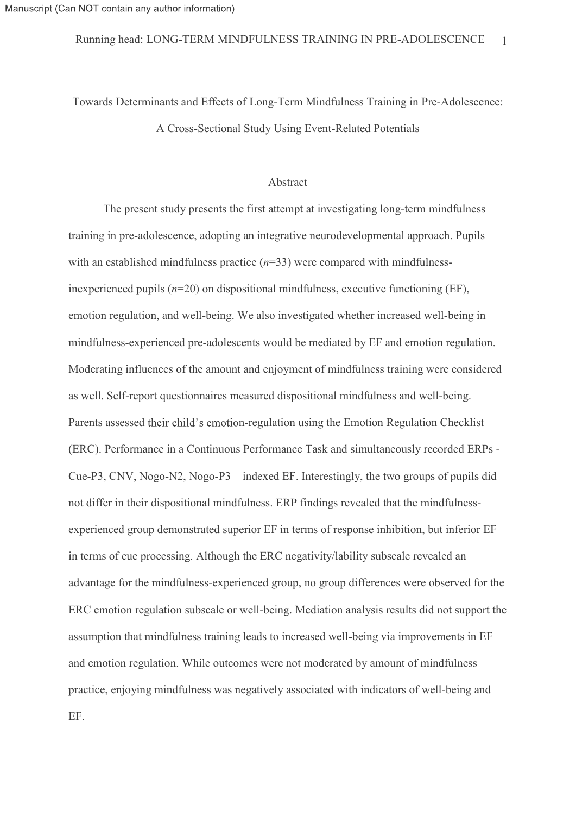Towards Determinants and Effects of Long-Term Mindfulness Training in Pre-Adolescence: A Cross-Sectional Study Using Event-Related Potentials

### Abstract

The present study presents the first attempt at investigating long-term mindfulness training in pre-adolescence, adopting an integrative neurodevelopmental approach. Pupils with an established mindfulness practice  $(n=33)$  were compared with mindfulness-Frame Readers (n=33) or a controller pupils (n=20) on dispositional mindfulness (needed vhether increased vell-being mindfulness (Fig.  $\mu$ ), were compared with an established mindfulness practice (n=33) were compared wit emotion regulation, and well-being. We also investigated whether increased well-being in mindfulness-experienced pre-adolescents would be mediated by EF and emotion regulation. Moderating influences of the amount and enjoyment of mindfulness training were considered as well. Self-report questionnaires measured dispositional mindfulness and well-being. Parents assessed their child's emotion-regulation using the Emotion Regulation Checklist (ERC). Performance in a Continuous Performance Task and simultaneously recorded ERPs - Cue-P3, CNV, Nogo-N2, Nogo-P3 – indexed EF. Interestingly, the two groups of pupils did with an established mindfulness practice ( $n=33$ ) were compared with mindfulness-<br>inexperienced pupils ( $n=20$ ) on dispositional mindfulness, executive functioning (EF),<br>emotion regulation, and well-being. We also investi experienced group demonstrated superior EF in terms of response inhibition, but inferior EF in terms of cue processing. Although the ERC negativity/lability subscale revealed an advantage for the mindfulness-experienced group, no group differences were observed for the ERC emotion regulation subscale or well-being. Mediation analysis results did not support the assumption that mindfulness training leads to increased well-being via improvements in EF and emotion regulation. While outcomes were not moderated by amount of mindfulness practice, enjoying mindfulness was negatively associated with indicators of well-being and EF.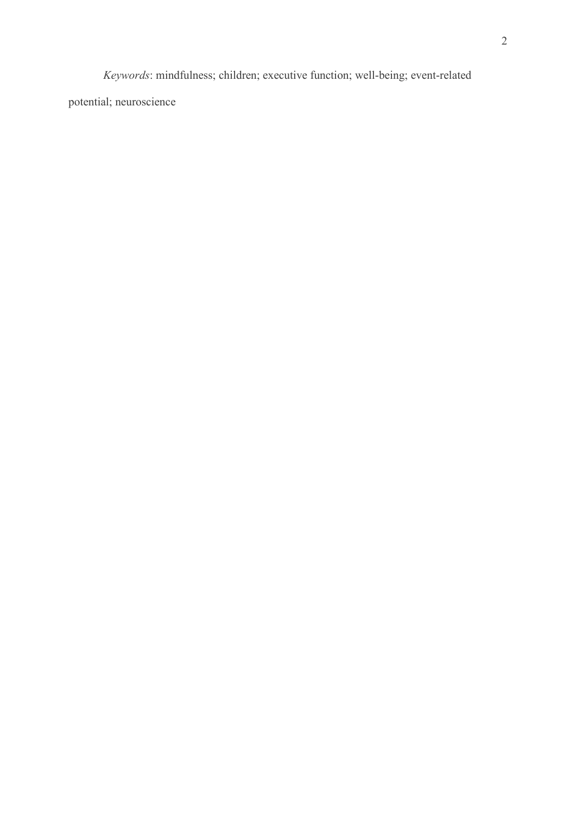Xeywords: mindfulness; children; executive function; well-being; event-related<br>al; neuroscience potential; neuroscience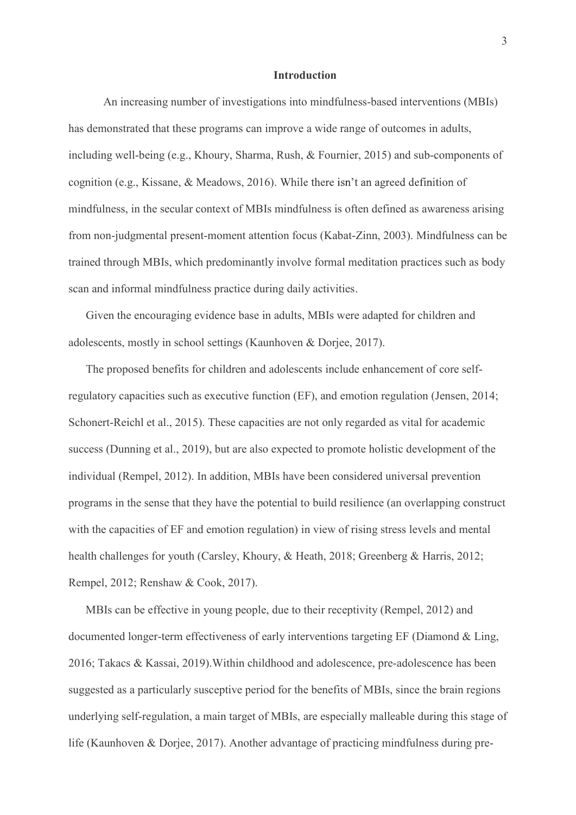### Introduction

An increasing number of investigations into mindfulness-based interventions (MBIs) has demonstrated that these programs can improve a wide range of outcomes in adults, **including** Man increasing number of investigations into mindfulness-based interventions (MBIs)<br>has demonstrated that these programs can improve a wide range of outcomes in adults,<br>including well-being (e.g., Khoury, Sharm **Introduction**<br>
An increasing number of investigations into mindfulness-based interventions (MBIs)<br>
has demonstrated that these programs can improve a wide range of outcomes in adults,<br>
including well-being (e.g., Khoury, **Introduction**<br>
An increasing number of investigations into mindfulness-based interventions (MBIs)<br>
has demonstrated that these programs can improve a wide range of outcomes in adults,<br>
including well-being (e.g., Khoury, from non-judgmental present-moment attention focus (Kabat-Zinn, 2003). Mindfulness can be Total MBIS, and the measured that these programs can improve a wide range of outcomes in adults,<br>the during well-being (e.g., Khoury, Sharma, Rush, & Fournier, 2015) and sub-components of<br>eognition (e.g., Kissane, & Meadow **Introduction**<br>
An increasing number of investigations into mindfulness-based interver<br>
has demonstrated that these programs can improve a wide range of outcomes in<br>
including well-being (e.g., Khoury, Sharma, Rush, & Four

Given the encouraging evidence base in adults, MBIs were adapted for children and adolescents, mostly in school settings (Kaunhoven & Dorjee, 2017).

The proposed benefits for children and adolescents include enhancement of core selfregulatory capacities such as executive function (EF), and emotion regulation (Jensen, 2014; Schonert-Reichl et al., 2015). These capacities are not only regarded as vital for academic success (Dunning et al., 2019), but are also expected to promote holistic development of the individual (Rempel, 2012). In addition, MBIs have been considered universal prevention programs in the sense that they have the potential to build resilience (an overlapping construct with the capacities of EF and emotion regulation) in view of rising stress levels and mental health challenges for youth (Carsley, Khoury, & Heath, 2018; Greenberg & Harris, 2012; Rempel, 2012; Renshaw & Cook, 2017).

MBIs can be effective in young people, due to their receptivity (Rempel, 2012) and documented longer-term effectiveness of early interventions targeting EF (Diamond & Ling, 2016; Takacs & Kassai, 2019).Within childhood and adolescence, pre-adolescence has been suggested as a particularly susceptive period for the benefits of MBIs, since the brain regions underlying self-regulation, a main target of MBIs, are especially malleable during this stage of life (Kaunhoven & Dorjee, 2017). Another advantage of practicing mindfulness during pre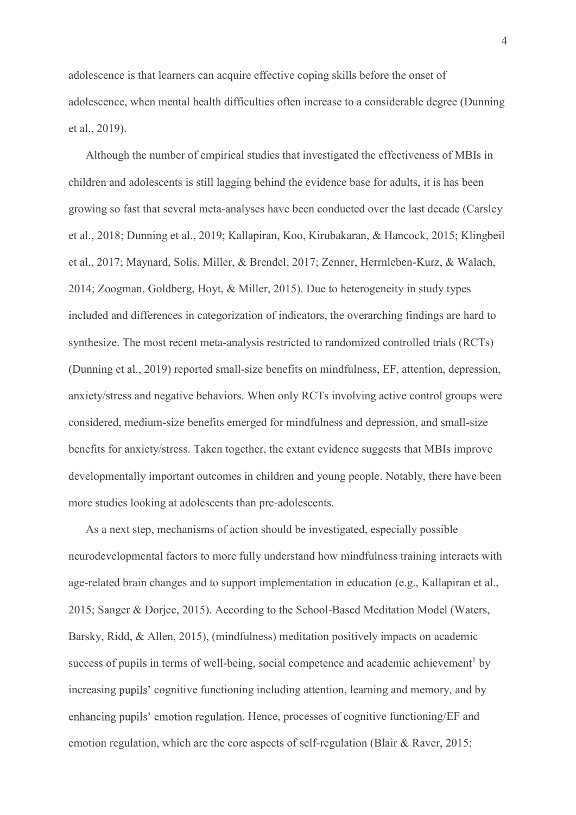adolescence is that learners can acquire effective coping skills before the onset of adolescence, when mental health difficulties often increase to a considerable degree (Dunning et al., 2019).

Although the number of empirical studies that investigated the effectiveness of MBIs in children and adolescents is still lagging behind the evidence base for adults, it is has been growing so fast that several meta-analyses have been conducted over the last decade (Carsley 4<br>adolescence is that learners can acquire effective coping skills before the onset of<br>adolescence, when mental health difficulties often increase to a considerable degree (Dunning<br>et al., 2019).<br>Although the number of emp 4<br>adolescence, when mental health difficulties often increase to a considerable degree (Dunning<br>ct al., 2019).<br>Although the number of empirical studies that investigated the effectiveness of MBIs in<br>children and adolescent 4<br>
4<br>
adolescence, when mental health difficulties often increase to a considerable degree (Dunning<br>
et al., 2019).<br>
Although the number of empirical studies that investigated the effectiveness of MBIs in<br>
children and ado included and differences in categorization of indicators, the overarching findings are hard to adolescence, when mental health difficulties often increase to a considerable degree (Dunning<br>et al., 2019).<br>Although the number of empirical studies that investigated the effectiveness of MBIs in<br>children and adolescents et al., 2019).<br>
Although the number of empirical studies that investigated the effectiveness of MBIs in<br>
children and adolescents is still lagging behind the evidence base for adults, it is has been<br>
growing so fast that s anxiety/stress and negative behaviors. When only RCTs involving active control groups were considered, medium-size benefits emerged for mindfulness and depression, and small-size growing so fast that several meta-analyses have been conducted over the last decade (Carsley<br>et al., 2018; Dunning et al., 2019; Kallapiran, Koo, Kirubakaran, & Hancock, 2015; Klingbeil<br>et al., 2017; Maynard, Solis, Miller et al., 2018; Dunning et al., 2019; Kallapiran, Koo, Kirubakaran, & Hancock, 2015; Klingbeil<br>et al., 2017; Maynard, Solis, Miller, & Brendel, 2017; Zenner, Herrnleben-Kurz, & Walach,<br>2014; Zoogman, Goldberg, Hoyt, & Miller more studies looking at adolescents than pre-adolescents. synthesize. The most recent meta-analysis restricted to randomized controlled trials (RCTs)<br>(Dunning et al., 2019) reported small-size benefits on mindfulness, EF, attention, depression,<br>anxiety/stress and negative behavio

As a next step, mechanisms of action should be investigated, especially possible neurodevelopmental factors to more fully understand how mindfulness training interacts with 2015; Sanger & Dorjee, 2015). According to the School-Based Meditation Model (Waters, Barsky, Ridd, & Allen, 2015), (mindfulness) meditation positively impacts on academic success of pupils in terms of well-being, social competence and academic achievement<sup>1</sup> by increasing pupils' cognitive functioning including attention, learning and memory, and by In children and young people. Notably, there have been<br>an pre-adolescents.<br>On should be investigated, especially possible<br>Illy understand how mindfulness training interacts with<br>ort implementation in education (e.g., Kalla more studies looking at adolescents than pre-adolescents.<br>As a next step, mechanisms of action should be investigated, especially possible<br>neurodevelopmental factors to more fully understand how mindfulness training intera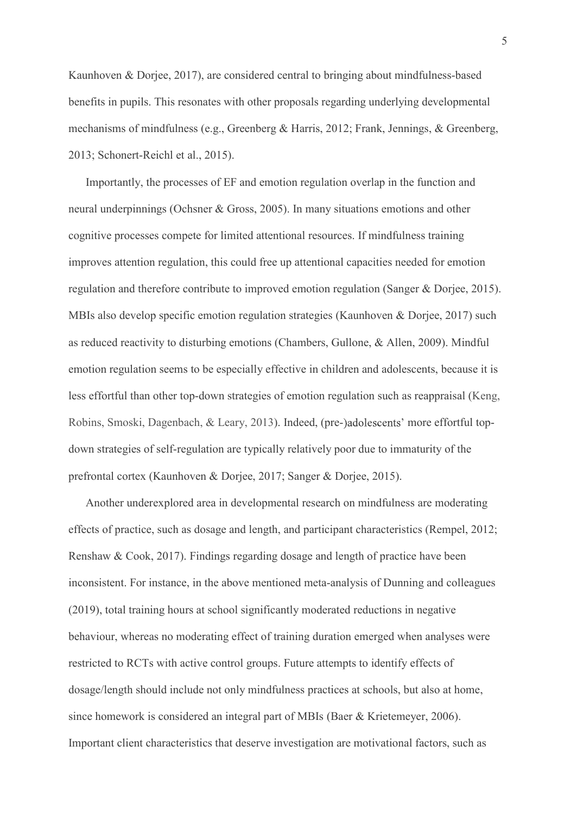5<br>Kaunhoven & Dorjee, 2017), are considered central to bringing about mindfulness-based<br>benefits in pupils. This resonates with other proposals regarding underlying developmental<br>mechanisms of mindfulness (e.g., Greenberg benefits in pupils. This resonates with other proposals regarding underlying developmental mechanisms of mindfulness (e.g., Greenberg & Harris, 2012; Frank, Jennings, & Greenberg, 2013; Schonert-Reichl et al., 2015).

Importantly, the processes of EF and emotion regulation overlap in the function and neural underpinnings (Ochsner & Gross, 2005). In many situations emotions and other cognitive processes compete for limited attentional resources. If mindfulness training improves attention regulation, this could free up attentional capacities needed for emotion regulation and therefore contribute to improved emotion regulation (Sanger & Dorjee, 2015). MBIs also develop specific emotion regulation strategies (Kaunhoven & Dorjee, 2017) such as reduced reactivity to disturbing emotions (Chambers, Gullone, & Allen, 2009). Mindful emotion regulation seems to be especially effective in children and adolescents, because it is less effortful than other top-down strategies of emotion regulation such as reappraisal (Keng, Robins, Smoski, Dagenbach, & Leary, 2013). Indeed, (pre-)adolescents' more effortful topdown strategies of self-regulation are typically relatively poor due to immaturity of the prefrontal cortex (Kaunhoven & Dorjee, 2017; Sanger & Dorjee, 2015).

Another underexplored area in developmental research on mindfulness are moderating effects of practice, such as dosage and length, and participant characteristics (Rempel, 2012; Renshaw & Cook, 2017). Findings regarding dosage and length of practice have been inconsistent. For instance, in the above mentioned meta-analysis of Dunning and colleagues (2019), total training hours at school significantly moderated reductions in negative behaviour, whereas no moderating effect of training duration emerged when analyses were restricted to RCTs with active control groups. Future attempts to identify effects of dosage/length should include not only mindfulness practices at schools, but also at home, since homework is considered an integral part of MBIs (Baer & Krietemeyer, 2006). Important client characteristics that deserve investigation are motivational factors, such as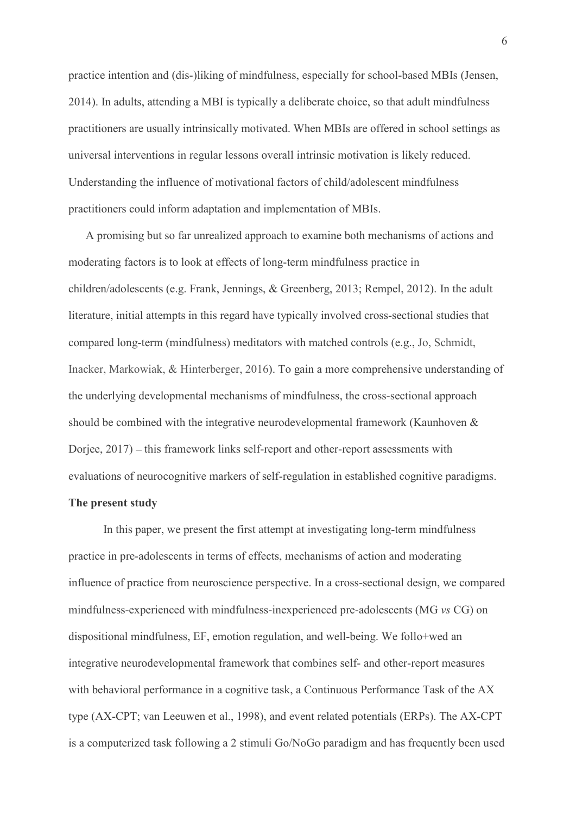practice intention and (dis-)liking of mindfulness, especially for school-based MBIs (Jensen, 2014). In adults, attending a MBI is typically a deliberate choice, so that adult mindfulness practitioners are usually intrinsically motivated. When MBIs are offered in school settings as universal interventions in regular lessons overall intrinsic motivation is likely reduced. Understanding the influence of motivational factors of child/adolescent mindfulness practitioners could inform adaptation and implementation of MBIs.

A promising but so far unrealized approach to examine both mechanisms of actions and moderating factors is to look at effects of long-term mindfulness practice in children/adolescents (e.g. Frank, Jennings, & Greenberg, 2013; Rempel, 2012). In the adult practice intention and (dis-)liking of mindfulness, especially for school-based MBIs (Jensen, 2014). In adults, attending a MBI is typically a deliberate choice, so that adult mindfulness practitioners are usually intrinsi 2014). In adults, attending a MBI is typically a deliberate choice, so that adult mindfulness<br>practitioners are usually intrinsically motivated. When MBIs are offered in school settings as<br>universal interventions in regula practitioners are usually intrinsically motivated. When MBIs are offered in school settings as<br>universal interventions in regular lessons overall intrinsic motivation is likely reduced.<br>Understanding the influence of motiv universal interventions in regular lessons overall intrinsic motivation is likely reduced.<br>Understanding the influence of motivational factors of child/adolescent mindfulness<br>practitioners could inform adaptation and imple Understanding the influence of motivational factors of child/adolescent mindfulness<br>practitioners could inform adaptation and implementation of MBIs.<br>A promising but so far unrealized approach to examine both mechanisms of practitioners could inform adaptation and implementation of MBIs.<br>
A promising but so far unrealized approach to examine both mechanisms of actions and<br>
moderating factors is to look at effects of long-term mindfulness pra A promising but so far unrealized approach to examine both mechanisms of actions and<br>moderating factors is to look at effects of long-term mindfulness practice in<br>children/adolescents (e.g. Frank, Jennings, & Greenberg, 20

### The present study

In this paper, we present the first attempt at investigating long-term mindfulness practice in pre-adolescents in terms of effects, mechanisms of action and moderating influence of practice from neuroscience perspective. In a cross-sectional design, we compared mindfulness-experienced with mindfulness-inexperienced pre-adolescents (MG vs CG) on dispositional mindfulness, EF, emotion regulation, and well-being. We follo+wed an should be combined with the integrative neurodevelopmental framework (Kaunhoven &<br>Dorjee, 2017) – this framework links self-report and other-report assessments with<br>evaluations of neurocognitive markers of self-regulation with behavioral performance in a cognitive task, a Continuous Performance Task of the AX type (AX-CPT; van Leeuwen et al., 1998), and event related potentials (ERPs). The AX-CPT is a computerized task following a 2 stimuli Go/NoGo paradigm and has frequently been used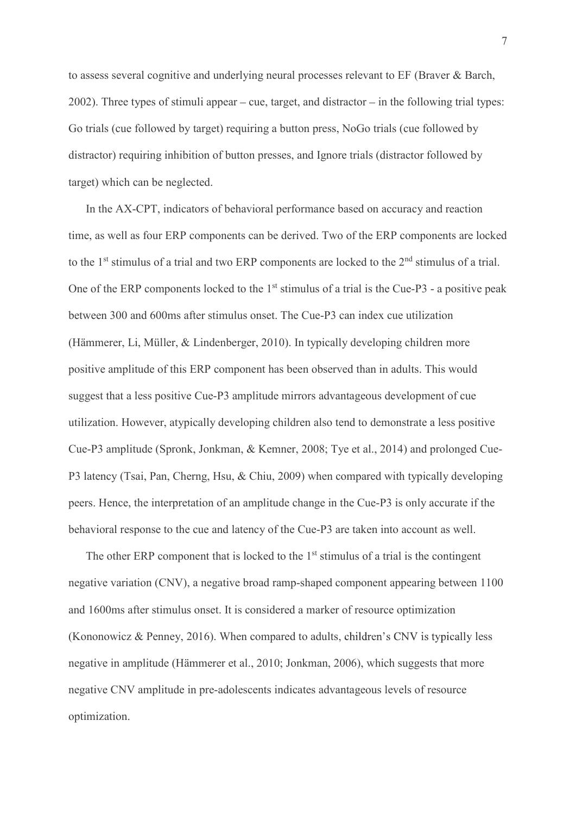to assess several cognitive and underlying neural processes relevant to EF (Braver & Barch,  $2002$ ). Three types of stimuli appear – cue, target, and distractor – in the following trial types: Go trials (cue followed by target) requiring a button press, NoGo trials (cue followed by 7<br>to assess several cognitive and underlying neural processes relevant to EF (Braver & Barch,<br>2002). Three types of stimuli appear – cue, target, and distractor – in the following trial types:<br>Go trials (cue followed by ta target) which can be neglected. <sup>7</sup><br>to assess several cognitive and underlying neural processes relevant to EF (Braver & Barch,<br>2002). Three types of stimuli appear – cue, target, and distractor – in the following trial types:<br>Go trials (cue followed by

In the AX-CPT, indicators of behavioral performance based on accuracy and reaction <sup>7</sup><br>
to assess several eognitive and underlying neural processes relevant to EF (Braver & Barch,<br>
2002). Three types of stimuli appear – eue, target, and distractor – in the following trial types:<br>
Go trials (eue followed One of the ERP components locked to the  $1<sup>st</sup>$  stimulus of a trial is the Cue-P3 - a positive peak between 300 and 600ms after stimulus onset. The Cue-P3 can index cue utilization 2002). Three types of stimuli appear – cue, target, and distractor – in the following trial types:<br>
Go trials (cue followed by target) requiring a button press, NoGo trials (cue followed by<br>
distractor) requiring inhibitio Go trials (cue followed by target) requiring a button press, NoGo trials (cue followed by<br>distractor) requiring inhibition of button presses, and Ignore trials (distractor followed by<br>target) which can be neglected.<br>In th suggest that a less positive Cue-P3 amplitude mirrors advantageous development of cue utilization. However, atypically developing children also tend to demonstrate a less positive Cue-P3 amplitude (Spronk, Jonkman, & Kemner, 2008; Tye et al., 2014) and prolonged Cue-P3 latency (Tsai, Pan, Cherng, Hsu, & Chiu, 2009) when compared with typically developing to the 1<sup>st</sup> stimulus of a trial and two ERP components are locked to the 2<sup>nd</sup> stimulus of a trial.<br>One of the ERP components locked to the 1<sup>st</sup> stimulus of a trial is the Cue-P3 - a positive peak<br>between 300 and 600ms a One of the ERP components locked to the 1<sup>st</sup> stimulus of a trial is the Cue-P3 - a positive peak<br>between 300 and 600ms after stimulus onset. The Cue-P3 can index cue utilization<br>(Hämmerer, Li, Müller, & Lindenberger, 2010 positive amplitude of this ERP component has been observed than in adults. This would<br>suggest that a less positive Cue-P3 amplitude mirrors advantageous development of cue<br>trilization. However, atypically developing childr

The other ERP component that is locked to the  $1<sup>st</sup>$  stimulus of a trial is the contingent negative variation (CNV), a negative broad ramp-shaped component appearing between 1100 (Kononowicz & Penney, 2016). When compared to adults, children's CNV is typically less negative in amplitude (Hämmerer et al., 2010; Jonkman, 2006), which suggests that more negative CNV amplitude in pre-adolescents indicates advantageous levels of resource optimization.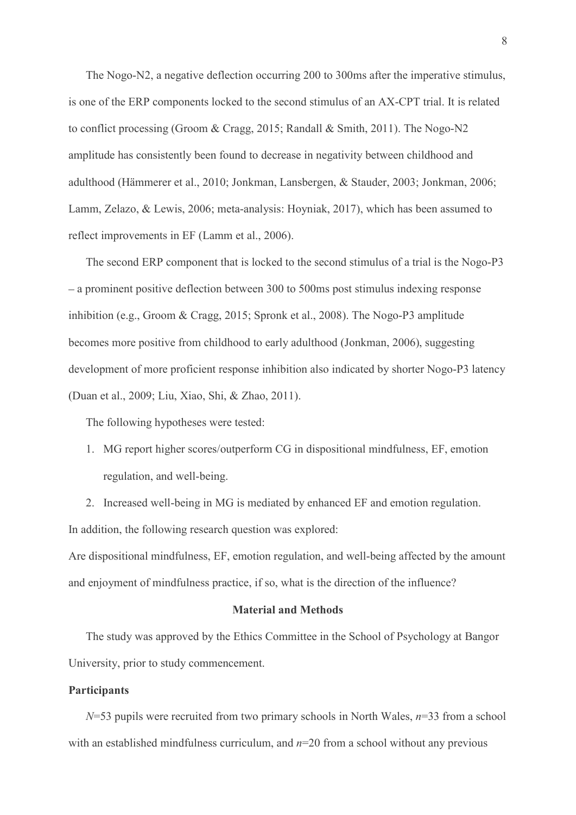The Nogo-N2, a negative deflection occurring 200 to 300ms after the imperative stimulus, <sup>8</sup><br>The Nogo-N2, a negative deflection occurring 200 to 300ms after the imperative stimulus,<br>is one of the ERP components locked to the second stimulus of an AX-CPT trial. It is related<br>to conflict processing (Groom & Crag 8<br>The Nogo-N2, a negative deflection occurring 200 to 300ms after the imperative stimulus,<br>is one of the ERP components locked to the second stimulus of an AX-CPT trial. It is related<br>to conflict processing (Groom & Cragg, amplitude has consistently been found to decrease in negativity between childhood and adulthood (Hämmerer et al., 2010; Jonkman, Lansbergen, & Stauder, 2003; Jonkman, 2006; Lamm, Zelazo, & Lewis, 2006; meta-analysis: Hoyniak, 2017), which has been assumed to reflect improvements in EF (Lamm et al., 2006). <sup>8</sup><br>
The Nogo-N2, a negative deflection occurring 200 to 300ms after the imperative stimulus,<br>
one of the ERP components locked to the second stimulus of an AX-CPT trial. It is related<br>
conflict processing (Groom & Cragg,

The second ERP component that is locked to the second stimulus of a trial is the Nogo-P3 inhibition (e.g., Groom & Cragg, 2015; Spronk et al., 2008). The Nogo-P3 amplitude becomes more positive from childhood to early adulthood (Jonkman, 2006), suggesting development of more proficient response inhibition also indicated by shorter Nogo-P3 latency (Duan et al., 2009; Liu, Xiao, Shi, & Zhao, 2011). 1. The component Scotter and Scotter and Scotter and Scotter improvements in EF (Lamm et al., 2006).<br>The second ERP component that is locked to the second stimulus of a trial is the Nogo-P3<br>prominent positive deflection be The second ERP component that is locked to the second stimulus of a trial is the Nogo-P3<br>prominent positive deflection between 300 to 500ms post stimulus indexing response<br>bition (e.g., Groom & Cragg, 2015; Spronk et al.,

The following hypotheses were tested:

- regulation, and well-being.
- In addition, the following research question was explored:

Are dispositional mindfulness, EF, emotion regulation, and well-being affected by the amount and enjoyment of mindfulness practice, if so, what is the direction of the influence?

### Material and Methods

The study was approved by the Ethics Committee in the School of Psychology at Bangor University, prior to study commencement.

### **Participants**

regulation, and well-being.<br>
2. Increased well-being in MG is mediated by enhanced EF and emotion regulation.<br>
ddition, the following research question was explored:<br>
dispositional mindfulness, EF, emotion regulation, and with an established mindfulness curriculum, and  $n=20$  from a school without any previous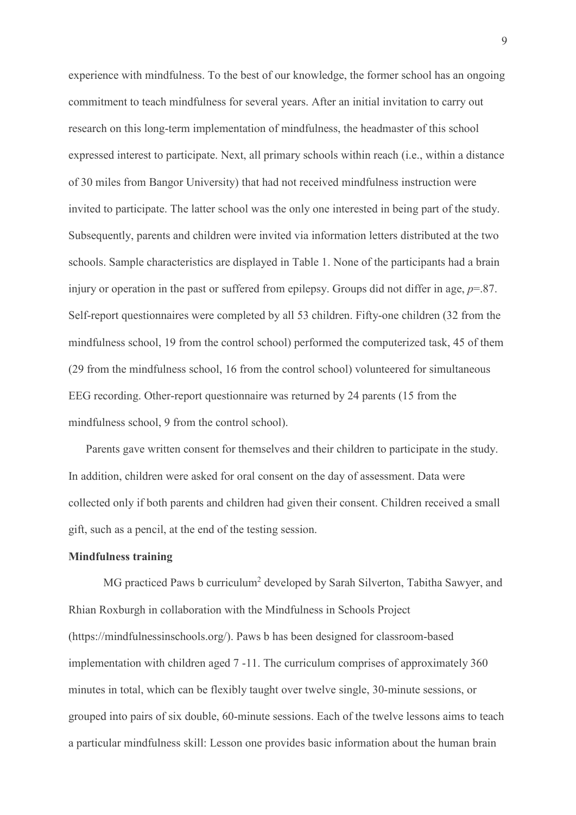experience with mindfulness. To the best of our knowledge, the former school has an ongoing commitment to teach mindfulness for several years. After an initial invitation to carry out research on this long-term implementation of mindfulness, the headmaster of this school expressed interest to participate. Next, all primary schools within reach (i.e., within a distance of 30 miles from Bangor University) that had not received mindfulness instruction were invited to participate. The latter school was the only one interested in being part of the study. Subsequently, parents and children were invited via information letters distributed at the two schools. Sample characteristics are displayed in Table 1. None of the participants had a brain geommitment to teach mindfulness. To the best of our knowledge, the former school has an ongoing commitment to teach mindfulness for several years. After an initial invitation to carry out research on this long-term imple Self-report questionnaires were completed by all 53 children. Fifty-one children (32 from the commitment to teach mindfulness for several years. After an initial invitation to carry out<br>research on this long-term implementation of mindfulness, the headmaster of this school<br>expressed interest to participate. Next, a research on this long-term implementation of mindfulness, the headmaster of this school<br>expressed interest to participate. Next, all primary schools within reach (i.e., within a distance<br>of 30 miles from Bangor University) expressed interest to participate. Next, all primary schools within reach (i.e., within a distance<br>of 30 miles from Bangor University) that had not received mindfulness instruction were<br>invited to participate. The latter s mindfulness school, 9 from the control school).

Parents gave written consent for themselves and their children to participate in the study. In addition, children were asked for oral consent on the day of assessment. Data were collected only if both parents and children had given their consent. Children received a small gift, such as a pencil, at the end of the testing session.

### Mindfulness training

 MG practiced Paws b curriculum<sup>2</sup> developed by Sarah Silverton, Tabitha Sawyer, and Rhian Roxburgh in collaboration with the Mindfulness in Schools Project EEG recording. Other-report questionnaire was returned by 24 parents (15 from the<br>mindfulness school, 9 from the control school).<br>Parents gave written consent for themselves and their children to participate in the study.<br> implementation with children aged 7 -11. The curriculum comprises of approximately 360 Parents gave written consent for themselves and their children to participate in the study.<br>In addition, children were asked for oral consent on the day of assessment. Data were<br>collected only if both parents and children grouped into pairs of six double, 60-minute sessions. Each of the twelve lessons aims to teach collected only if both parents and children had given their consent. Children received a small gift, such as a pencil, at the end of the testing session.<br> **Mindfulness training**<br>
MG practiced Paws b curriculum<sup>2</sup> developed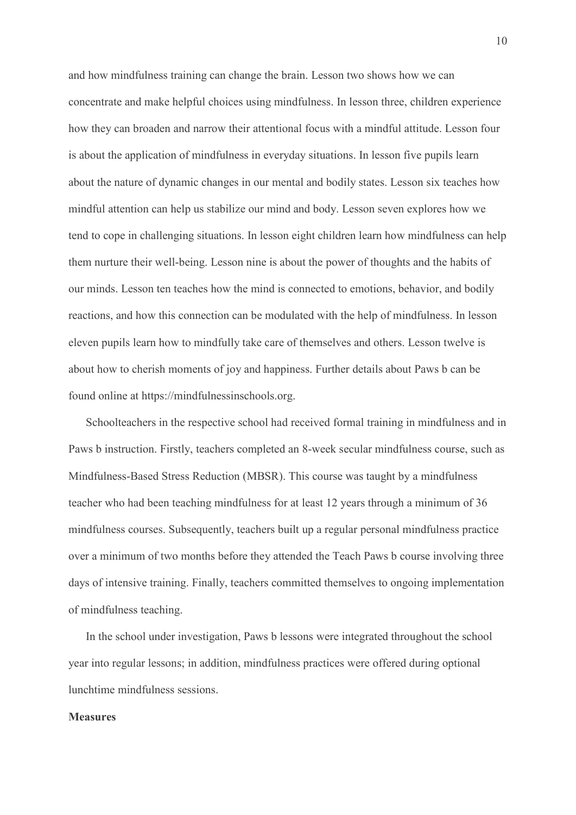and how mindfulness training can change the brain. Lesson two shows how we can concentrate and make helpful choices using mindfulness. In lesson three, children experience how they can broaden and narrow their attentional focus with a mindful attitude. Lesson four is about the application of mindfulness in everyday situations. In lesson five pupils learn about the nature of dynamic changes in our mental and bodily states. Lesson six teaches how mindful attention can help us stabilize our mind and body. Lesson seven explores how we tend to cope in challenging situations. In lesson eight children learn how mindfulness can help them nurture their well-being. Lesson nine is about the power of thoughts and the habits of our minds. Lesson ten teaches how the mind is connected to emotions, behavior, and bodily and how mindfulness training can change the brain. Lesson two shows how we can<br>concentrate and make helpful choices using mindfulness. In lesson three, children experience<br>how they can broaden and narrow their attentional eleven pupils learn how to mindfully take care of themselves and others. Lesson twelve is about how to cherish moments of joy and happiness. Further details about Paws b can be found online at https://mindfulnessinschools.org. mindful attention can help us stabilize our mind and body. Lesson seven explores how we<br>tend to cope in challenging situations. In lesson eight children learn how mindfulness can help<br>them nurture their well-being. Lesson teach to cope in challenging situations. In lesson eight children learn how mindfulness can help<br>them nurture their well-being. Lesson nine is about the power of thoughts and the habits of<br>our minds. Lesson ten teaches how

Schoolteachers in the respective school had received formal training in mindfulness and in teacher who had been teaching mindfulness for at least 12 years through a minimum of 36 mindfulness courses. Subsequently, teachers built up a regular personal mindfulness practice over a minimum of two months before they attended the Teach Paws b course involving three days of intensive training. Finally, teachers committed themselves to ongoing implementation of mindfulness teaching. Schoolteachers in the respective school had received formal training in mindfulness and in<br>Paws b instruction. Firstly, teachers completed an 8-week secular mindfulness course, such as<br>Mindfulness-Based Stress Reduction (M

In the school under investigation, Paws b lessons were integrated throughout the school lunchtime mindfulness sessions.

### **Measures**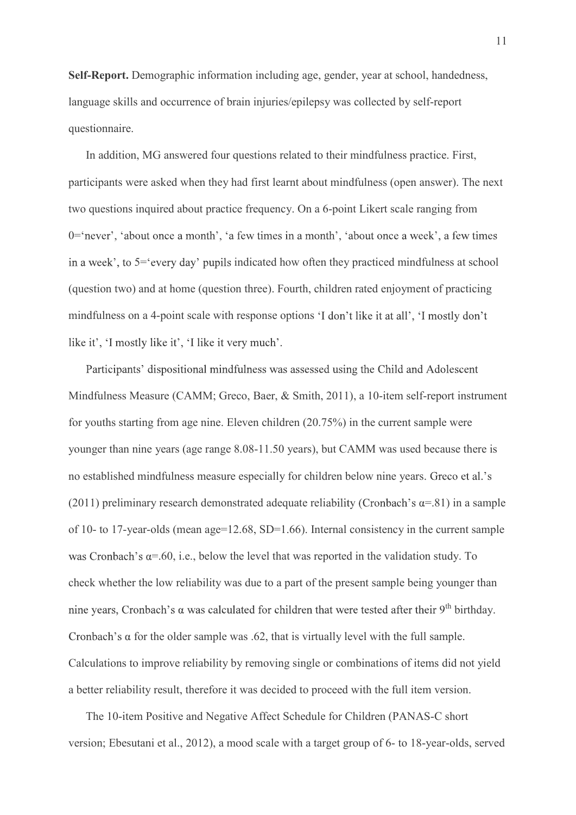Self-Report. Demographic information including age, gender, year at school, handedness, 11<br> **Self-Report.** Demographic information including age, gender, year at school, handedness,<br>
language skills and occurrence of brain injuries/epilepsy was collected by self-report<br>
questionnaire.<br>
In addition, MG answere questionnaire.

In addition, MG answered four questions related to their mindfulness practice. First, wear at school, handedness, practical said occurrence of brain injuries/epilepsy was collected by self-report stionnaire.<br>In addition, M participants were asked when they had first learnt about mindfulness (open answer). The next two questions inquired about practice frequency. On a 6-point Likert scale ranging from 0='never', 'about once a month', 'a few times in a month', 'about once a week', a few times in a week', to  $5$ = 'every day' pupils indicated how often they practiced mindfulness at school (question two) and at home (question three). Fourth, children rated enjoyment of practicing mindfulness on a 4-point scale with response options 'I don't like it at all', 'I mostly don't

Mindfulness Measure (CAMM; Greco, Baer, & Smith, 2011), a 10-item self-report instrument for youths starting from age nine. Eleven children (20.75%) in the current sample were younger than nine years (age range 8.08-11.50 years), but CAMM was used because there is no established mindfulness measure especially for children below nine years. (2011) preliminary research demonstrated adequate reliability (Cronbach's  $\alpha$ =.81) in a sample of 10- to 17-year-olds (mean  $age=12.68$ , SD=1.66). Internal consistency in the current sample was Cronbach's  $\alpha$ =.60, i.e., below the level that was reported in the validation study. To like it', '1 mostly like it', '1 like it very much'.<br>
Participants' dispositional mindfulness was assessed using the Child and Adolescent<br>
Mindfulness Measure (CAMM; Greco, Baer, & Smith, 2011), a 10-item self-report inst nine years, Cronbach's  $\alpha$  was calculated for children that were tested after their 9<sup>th</sup> birthday. Cronbach's  $\alpha$  for the older sample was .62, that is virtually level with the full sample. Calculations to improve reliability by removing single or combinations of items did not yield a better reliability result, therefore it was decided to proceed with the full item version.

The 10-item Positive and Negative Affect Schedule for Children (PANAS-C short version; Ebesutani et al., 2012), a mood scale with a target group of 6- to 18-year-olds, served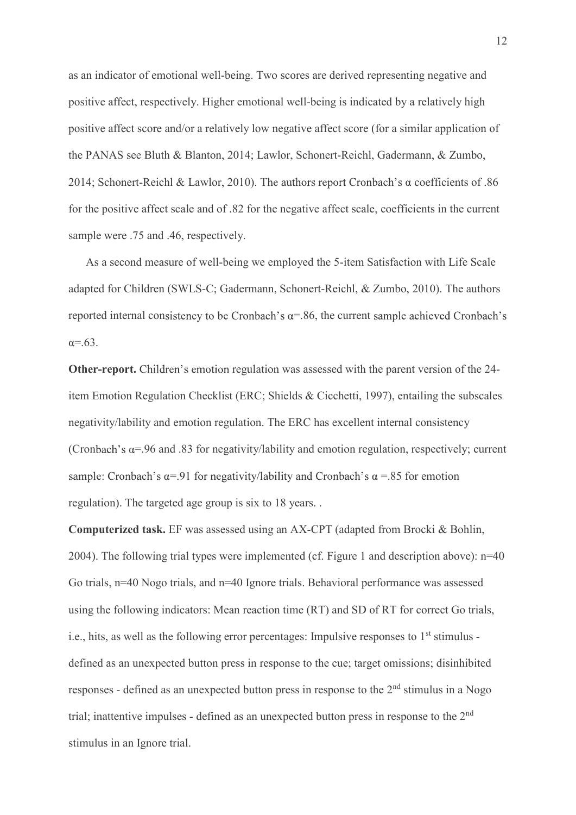12<br>as an indicator of emotional well-being. Two scores are derived representing negative and<br>positive affect, respectively. Higher emotional well-being is indicated by a relatively high<br>positive affect score and/or a relat positive affect, respectively. Higher emotional well-being is indicated by a relatively high positive affect score and/or a relatively low negative affect score (for a similar application of the PANAS see Bluth & Blanton, 2014; Lawlor, Schonert-Reichl, Gadermann, & Zumbo, 2014; Schonert-Reichl & Lawlor, 2010). The authors report Cronbach's  $\alpha$  coefficients of .86 for the positive affect scale and of .82 for the negative affect scale, coefficients in the current sample were .75 and .46, respectively. 12<br>as an indicator of emotional well-being. Two scores are derived representing negative and<br>positive affect, respectively. Higher emotional well-being is indicated by a relatively high<br>positive affect score and/or a rela

As a second measure of well-being we employed the 5-item Satisfaction with Life Scale reported internal consistency to be Cronbach's  $\alpha$ =.86, the current sample achieved Cronbach's  $\alpha = .63$ .

Other-report. Children's emotion regulation was assessed with the parent version of the 24the PANAS see Bluth & Blanton, 2014; Lawlor, Schonert-Reichl, Gadermann, & Zumbo,<br>2014; Schonert-Reichl & Lawlor, 2010). The authors report Cronbach's  $\alpha$  coefficients of .86<br>for the positive affect scale and of .82 for t negativity/lability and emotion regulation. The ERC has excellent internal consistency (Cronbach's  $\alpha$ =.96 and .83 for negativity/lability and emotion regulation, respectively; current sample: Cronbach's  $\alpha$ =.91 for negativity/lability and Cronbach's  $\alpha$  =.85 for emotion regulation). The targeted age group is six to 18 years. . adapted for Children (SWLS-C; Gadermann, Schonert-Reichl, & Zumbo, 2010). The authors<br>reported internal consistency to be Cronbach's  $\alpha$ =.86, the current sample achieved Cronbach's<br> $\alpha$ =.63.<br>Other-report. Children's emoti  $\alpha=63$ .<br> **Other-report.** Children's emotion regulation was assessed with the parent version of the 24-<br>
tiem Emotion Regulation Checklist (ERC; Shields & Cicchetti, 1997), entailing the subscales<br>
negativity/lability and

2004). The following trial types were implemented (cf. Figure 1 and description above): n=40 using the following indicators: Mean reaction time (RT) and SD of RT for correct Go trials, i.e., hits, as well as the following error percentages: Impulsive responses to  $1<sup>st</sup>$  stimulus defined as an unexpected button press in response to the cue; target omissions; disinhibited responses - defined as an unexpected button press in response to the 2<sup>nd</sup> stimulus in a Nogo trial; inattentive impulses - defined as an unexpected button press in response to the 2<sup>nd</sup> stimulus in an Ignore trial.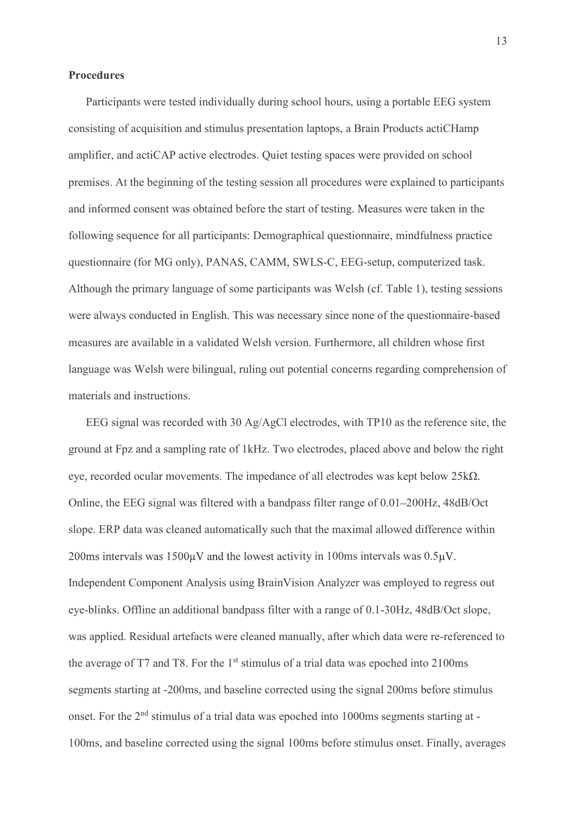### Procedures

13<br>Participants were tested individually during school hours, using a portable EEG system<br>sisting of acquisition and stimulus presentation laptops, a Brain Products actiCHamp<br>blifier, and actiCAP active electrodes. Quiet t consisting of acquisition and stimulus presentation laptops, a Brain Products actiCHamp 13<br> **Procedures**<br>
Participants were tested individually during school hours, using a portable EEG system<br>
consisting of acquisition and stimulus presentation laptops, a Brain Products actiCHamp<br>
amplifier, and actiCAP acti 13<br>Procedures<br>Participants were tested individually during school hours, using a portable EEG system<br>consisting of acquisition and stimulus presentation laptops, a Brain Products actic<br>Hamp<br>amplifier, and actic<br>AP active e 13<br> **Procedures**<br>
Participants were tested individually during school hours, using a portable EEG system<br>
consisting of acquisition and stimulus presentation laptops, a Brain Products actiCHamp<br>
amplifier, and actiCAP acti following sequence for all participants: Demographical questionnaire, mindfulness practice 13<br>
Procedures<br>
Participants were tested individually during school hours, using a portable EEG system<br>
consisting of acquisition and stimulus presentation laptops, a Brain Products actic<br>
Pamplifier, and actic AP active e Although the primary language of some participants was Welsh (cf. Table 1), testing sessions were always conducted in English. This was necessary since none of the questionnaire-based Participants were tested individually during school hours, using a portable EEG system<br>consisting of acquisition and stimulus presentation laptops, a Brain Products actiCHamp<br>amplifier, and actiCAP active electrodes. Quiet language was Welsh were bilingual, ruling out potential concerns regarding comprehension of materials and instructions. mises. At the beginning of the testing session all procedures were explained to participants<br>informed consent was obtained before the start of testing. Measures were taken in the<br>bwing sequence for all participants: Demog and informed consent was obtained before the start of testing. Measures were taken in the following sequence for all participants: Demographical questionnaire, mindfulness practice questionnaire (for MG only), PANAS, CAMM, following sequence for all participants: Demographical questionnaire, mindfulness practice<br>questionnaire (for MG only), PANAS, CAMM, SWLS-C, EEG-setup, computerized task.<br>Although the primary language of some participants questionnaire (for MG only), PANAS, CAMM, SWLS-C, EEG-setup, computerized task.<br>Although the primary language of some participants was Welsh (cf. Table 1), testing sessions<br>were always conducted in English. This was necess

slope. ERP data was cleaned automatically such that the maximal allowed difference within 200ms intervals was  $1500\mu$ V and the lowest activity in 100ms intervals was  $0.5\mu$ V. measures are available in a validated Welsh version. Furthermore, all children whose first<br>language was Welsh were bilingual, ruling out potential concerns regarding comprehension of<br>materials and instructions.<br>EEG signal eye-blinks. Offline an additional bandpass filter with a range of 0.1-30Hz, 48dB/Oct slope, was applied. Residual artefacts were cleaned manually, after which data were re-referenced to EEG signal was recorded with 30 Ag/AgCl electrodes, with TP10 as the reference site, the ground at Fpz and a sampling rate of 1kHz. Two electrodes, placed above and below the right eye, recorded ocular movements. The impe ground at Fpz and a sampling rate of 1kHz. Two electrodes, placed above and below the right<br>cyc, recorded ocular movements. The impedance of all electrodes was kept below 25kΩ.<br>Online, the EEG signal was filtered with a ba onset. For the 2<sup>nd</sup> stimulus of a trial data was epoched into 1000ms segments starting at -100ms, and baseline corrected using the signal 100ms before stimulus onset. Finally, averages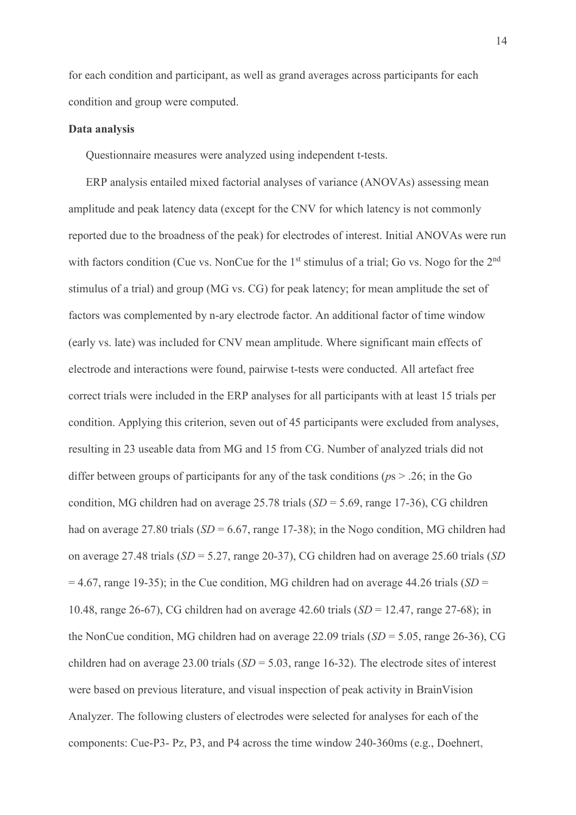14<br>for each condition and participant, as well as grand averages across participants for each<br>condition and group were computed.<br>Data analysis for each condition and participant, as well as grand averages across participants for<br>condition and group were computed.<br>Data analysis<br>Questionnaire measures were analyzed using independent t-tests. for each condition and participant, as well as grand averages across partici<br>condition and group were computed.<br>Data analysis<br>Questionnaire measures were analyzed using independent t-tests.<br>ERP analysis entailed mixed fact

14<br>
each condition and participant, as well as grand averages across participants for each<br>
dition and group were computed.<br> **a analysis**<br>
Questionnaire measures were analyzed using independent t-tests.<br>
ERP analysis entai 14<br>
Example and participant, as well as grand averages across participants for each<br>
dition and group were computed.<br> **a analysis**<br>
Questionnaire measures were analyzed using independent t-tests.<br>
ERP analysis entailed mix 14<br>
amplying the condition and participant, as well as grand averages across participants for each<br>
condition and group were computed.<br> **Data analysis**<br>
Questionnaire measures were analyzed using independent t-tests.<br>
ERP <sup>14</sup><br>for cach condition and participant, as well as grand averages across participants for each<br>condition and group were computed.<br>**Data analysis**<br>Questionnaire measures were analyzed using independent t-tests.<br>ERP analys with factors condition (Cue vs. NonCue for the  $1<sup>st</sup>$  stimulus of a trial; Go vs. Nogo for the  $2<sup>nd</sup>$ stimulus of a trial) and group (MG vs. CG) for peak latency; for mean amplitude the set of for each condition and participant, as well as grand averages across participants for each<br>condition and group were computed.<br>
Data analysis<br>
Questionnaire measures were analyzed using independent t-tests.<br>
ERP analysis e (early vs. late) was included for CNV mean amplitude. Where significant main effects of **Data analysis**<br>
Questionnaire measures were analyzed using independent t-tests.<br>
ERP analysis entailed mixed factorial analyses of variance (ANOVAs) assessing mean<br>
amplitude and peak latency data (except for the CNV for Questionnaire measures were analyzed using independent t-tests.<br>
FRP analysis entailed mixed factorial analyses of variance (ANOVAs) assessing mean<br>
amplitude and peak latency data (except for the CNV for which latency is condition. Applying this criterion, seven out of 45 participants were excluded from analyses, amplitude and peak latency data (except for the CNV for which latency is not commonly<br>reported due to the broadness of the peak) for electrodes of interest. Initial ANOVAs were run<br>with factors condition (Cue vs. NonCue fo differ between groups of participants for any of the task conditions ( $p_s > .26$ ; in the Go condition, MG children had on average  $25.78$  trials ( $SD = 5.69$ , range 17-36), CG children had on average 27.80 trials  $(SD = 6.67, \text{ range } 17{\text -}38)$ ; in the Nogo condition, MG children had on average 27.48 trials  $(SD = 5.27$ , range 20-37), CG children had on average 25.60 trials  $(SD)$  $= 4.67$ , range 19-35); in the Cue condition, MG children had on average 44.26 trials (SD = 10.48, range 26-67), CG children had on average 42.60 trials  $(SD = 12.47$ , range 27-68); in the NonCue condition, MG children had on average 22.09 trials  $(SD = 5.05, \text{range } 26-36)$ , CG children had on average 23.00 trials  $(SD = 5.03$ , range 16-32). The electrode sites of interest resulting in 23 useable data from MG and 15 from CG. Number of analyzed trials did not<br>differ between groups of participants for any of the task conditions  $(ps > .26)$ ; in the Go<br>condition, MG children had on average 25.78 t differ between groups of participants for any of the task conditions  $(ps > .26$ ; in the Go<br>condition, MG children had on average 25.78 trials  $(SD = 5.69$ , range 17-36), CG children<br>had on average 27.80 trials  $(SD = 6.67$ , rang components: Cue-P3- Pz, P3, and P4 across the time window 240-360ms (e.g., Doehnert,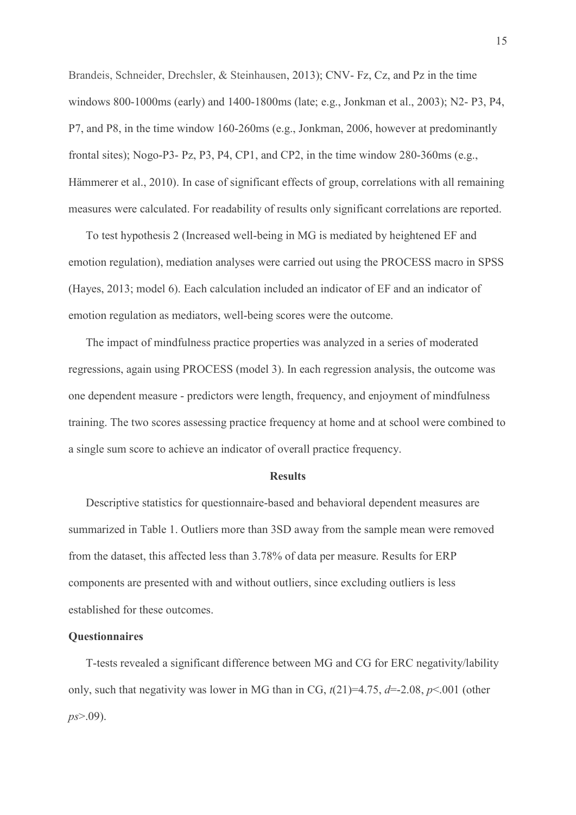15<br>Brandeis, Schneider, Drechsler, & Steinhausen, 2013); CNV- Fz, Cz, and Pz in the time<br>windows 800-1000ms (early) and 1400-1800ms (late; e.g., Jonkman et al., 2003); N2- P3, P4,<br>P7, and P8, in the time window 160-260ms ( 15<br>Brandeis, Schneider, Drechsler, & Steinhausen, 2013); CNV- Fz, Cz, and Pz in the time<br>windows 800-1000ms (early) and 1400-1800ms (late; e.g., Jonkman et al., 2003); N2- P3, P4,<br>P7, and P8, in the time window 160-260ms ( 15<br>
Brandeis, Schneider, Drechsler, & Steinhausen, 2013); CNV- Fz, Cz, and Pz in the time<br>
windows 800-1000ms (early) and 1400-1800ms (late; e.g., Jonkman et al., 2003); N2- P3, P4,<br>
P7, and P8, in the time window 160-260m 15<br>Brandeis, Schneider, Drechsler, & Steinhausen, 2013); CNV- Fz, Cz, and Pz in the time<br>windows 800-1000ms (early) and 1400-1800ms (late; e.g., Jonkman et al., 2003); N2- P3, P4,<br>P7, and P8, in the time window 160-260ms ( 15<br>
Brandeis, Schneider, Drechsler, & Steinhausen, 2013); CNV-Fz, Cz, and Pz in the time<br>
windows 800-1000ms (early) and 1400-1800ms (late; e.g., Jonkman et al., 2003); N2-P3, P4,<br>
P7, and P8, in the time window 160-260ms 15<br>
Brandeis, Schneider, Drechsler, & Steinhausen, 2013); CNV- Fz, Cz, and Pz in the time<br>
windows 800-1000ms (carly) and 1400-1800ms (late; e.g., Jonkman et al., 2003); N2- P3, P4,<br>
P7, and P8, in the time window 160-260m 15<br>
Indeis, Schneider, Drechsler, & Steinhausen, 2013); CNV- Fz, Cz, and Pz in the time<br>
dows 800-1000ms (carly) and 1400-1800ms (late; e.g., Jonkman et al., 2003); N2- P3, P4,<br>
and P8, in the time window 160-260ms (e.g.,

emotion regulation), mediation analyses were carried out using the PROCESS macro in SPSS (Hayes, 2013; model 6). Each calculation included an indicator of EF and an indicator of emotion regulation as mediators, well-being scores were the outcome.

The impact of mindfulness practice properties was analyzed in a series of moderated regressions, again using PROCESS (model 3). In each regression analysis, the outcome was one dependent measure - predictors were length, frequency, and enjoyment of mindfulness training. The two scores assessing practice frequency at home and at school were combined to a single sum score to achieve an indicator of overall practice frequency.

### **Results**

Descriptive statistics for questionnaire-based and behavioral dependent measures are summarized in Table 1. Outliers more than 3SD away from the sample mean were removed from the dataset, this affected less than 3.78% of data per measure. Results for ERP components are presented with and without outliers, since excluding outliers is less established for these outcomes. The two scores assessing practice frequency at home and at school were combined to<br>regle sum score to achieve an indicator of overall practice frequency.<br>**Results**<br>Descriptive statistics for questionnaire-based and behavi

### **Ouestionnaires**

only, such that negativity was lower in MG than in CG,  $t(21)=4.75$ ,  $d=2.08$ ,  $p<0.01$  (other  $ps > .09$ ).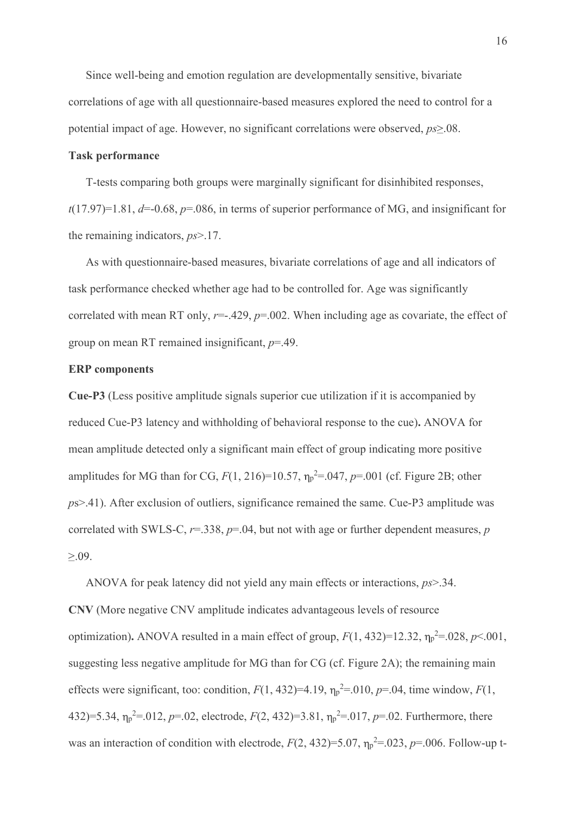Since well-being and emotion regulation are developmentally sensitive, bivariate correlations of age with all questionnaire-based measures explored the need to control for a potential impact of age. However, no significant correlations were observed,  $ps \geq 08$ .

### Task performance

T-tests comparing both groups were marginally significant for disinhibited responses, 16<br>Since well-being and emotion regulation are developmentally sensitive, bivariate<br>correlations of age with all questionnaire-based measures explored the need to control for a<br>potential impact of age. However, no signifi the remaining indicators, ps>.17.

As with questionnaire-based measures, bivariate correlations of age and all indicators of task performance checked whether age had to be controlled for. Age was significantly correlated with mean RT only,  $r=-.429$ ,  $p=.002$ . When including age as covariate, the effect of group on mean RT remained insignificant,  $p=49$ .

### ERP components

Cue-P3 (Less positive amplitude signals superior cue utilization if it is accompanied by reduced Cue-P3 latency and withholding of behavioral response to the cue). ANOVA for mean amplitude detected only a significant main effect of group indicating more positive amplitudes for MG than for CG,  $F(1, 216)=10.57$ ,  $\eta_{p}^{2}=.047$ ,  $p=.001$  (cf. Figure 2B; other ps>.41). After exclusion of outliers, significance remained the same. Cue-P3 amplitude was correlated with SWLS-C,  $r=338$ ,  $p=.04$ , but not with age or further dependent measures, p **Cuc-P3** (Less positive amplitude signals superior cue utilization if it is accompanied by<br>reduced Cuc-P3 latency and withholding of behavioral response to the cuc). ANOVA for<br>mean amplitude detected only a significant ma

ANOVA for peak latency did not yield any main effects or interactions, ps>.34. CNV (More negative CNV amplitude indicates advantageous levels of resource optimization). ANOVA resulted in a main effect of group,  $F(1, 432)=12.32$ ,  $\eta_p^2=.028$ ,  $p<.001$ , suggesting less negative amplitude for MG than for CG (cf. Figure 2A); the remaining main effects were significant, too: condition,  $F(1, 432)=4.19$ ,  $\eta_p^2=0.010$ ,  $p=.04$ , time window,  $F(1, 432)$ 432)=5.34,  $\eta_p^2$ =.012,  $p$ =.02, electrode,  $F(2, 432)$ =3.81,  $\eta_p^2$ =.017,  $p$ =.02. Furthermore, there was an interaction of condition with electrode,  $F(2, 432)=5.07$ ,  $\eta_p^2=0.023$ ,  $p=.006$ . Follow-up t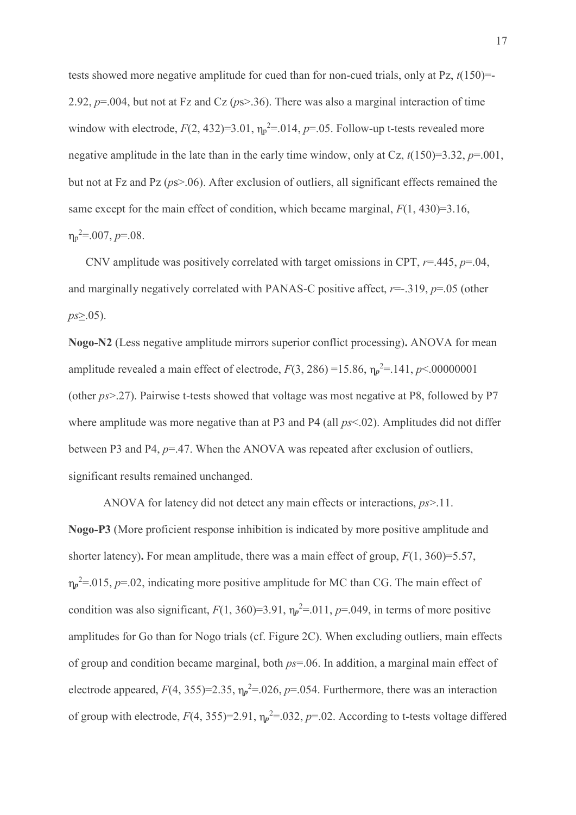tests showed more negative amplitude for cued than for non-cued trials, only at Pz,  $t(150)=$ 2.92,  $p=0.004$ , but not at Fz and Cz ( $ps>36$ ). There was also a marginal interaction of time window with electrode,  $F(2, 432)=3.01$ ,  $\eta_p^2=0.014$ ,  $p=.05$ . Follow-up t-tests revealed more negative amplitude in the late than in the early time window, only at Cz,  $t(150)=3.32$ ,  $p=.001$ , but not at Fz and Pz ( $ps$ ). After exclusion of outliers, all significant effects remained the same except for the main effect of condition, which became marginal,  $F(1, 430)=3.16$ ,  $p^2 = 0.007$ ,  $p = 0.08$ .

CNV amplitude was positively correlated with target omissions in CPT,  $r=445$ ,  $p=.04$ , and marginally negatively correlated with PANAS-C positive affect,  $r = -0.319$ ,  $p = 0.05$  (other  $ps \geq 0.05$ ).

Nogo-N2 (Less negative amplitude mirrors superior conflict processing). ANOVA for mean amplitude revealed a main effect of electrode,  $F(3, 286) = 15.86$ ,  $\eta_p^2 = 141$ ,  $p < 00000001$ (other ps>.27). Pairwise t-tests showed that voltage was most negative at P8, followed by P7 where amplitude was more negative than at P3 and P4 (all  $ps<0.02$ ). Amplitudes did not differ between P3 and P4,  $p=47$ . When the ANOVA was repeated after exclusion of outliers, significant results remained unchanged.

 ANOVA for latency did not detect any main effects or interactions, ps>.11. Nogo-P3 (More proficient response inhibition is indicated by more positive amplitude and shorter latency). For mean amplitude, there was a main effect of group,  $F(1, 360)=5.57$ ,  $p^2$ =.015, p=.02, indicating more positive amplitude for MC than CG. The main effect of condition was also significant,  $F(1, 360)=3.91$ ,  $\eta_p^2=0.011$ ,  $p=.049$ , in terms of more positive amplitudes for Go than for Nogo trials (cf. Figure 2C). When excluding outliers, main effects of group and condition became marginal, both  $ps=.06$ . In addition, a marginal main effect of electrode appeared,  $F(4, 355)=2.35$ ,  $\eta_p^2=0.026$ ,  $p=.054$ . Furthermore, there was an interaction of group with electrode,  $F(4, 355)=2.91$ ,  $\eta_p^2=0.032$ ,  $p=.02$ . According to t-tests voltage differed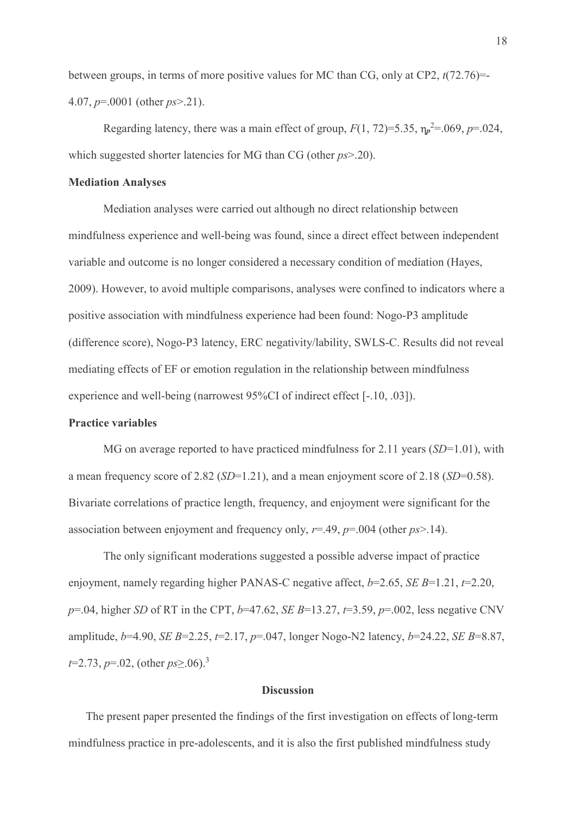between groups, in terms of more positive values for MC than CG, only at CP2,  $t(72.76)=$ 4.07,  $p=.0001$  (other  $ps > .21$ ).

Regarding latency, there was a main effect of group,  $F(1, 72)=5.35$ ,  $\eta_p^2=0.069$ ,  $p=.024$ , which suggested shorter latencies for MG than CG (other  $ps > 20$ ).

### Mediation Analyses

 Mediation analyses were carried out although no direct relationship between mindfulness experience and well-being was found, since a direct effect between independent variable and outcome is no longer considered a necessary condition of mediation (Hayes, 2009). However, to avoid multiple comparisons, analyses were confined to indicators where a between groups, in terms of more positive values for MC than CG, only at CP2,  $t(72.76)$ —<br>
4.07,  $p=0.001$  (other  $ps > 21$ ).<br>
Regarding latency, there was a main effect of group,  $F(1, 72)$ –5.35,  $v_p^2$ –069,  $p=0.024$ ,<br>
wh 4.07,  $p=0001$  (other  $ps > 21$ ).<br>
Regarding latency, there was a main effect of group,  $F(1, 72)=5.35$ ,  $v_p^2=069$ ,  $p=024$ ,<br>
which suggested shorter latencies for MG than CG (other  $ps > 20$ ).<br> **Mediation Analyses**<br>
Mediatio mediating effects of EF or emotion regulation in the relationship between mindfulness experience and well-being (narrowest 95%CI of indirect effect [-.10, .03]). Mediation analyses were carried out although no direct relationship between<br>thess experience and well-being was found, since a direct effect between independent<br>and outcome is no longer considered a necessary condition of

### Practice variables

a mean frequency score of 2.82 (SD=1.21), and a mean enjoyment score of 2.18 (SD=0.58). Bivariate correlations of practice length, frequency, and enjoyment were significant for the association between enjoyment and frequency only,  $r=0.49$ ,  $p=0.004$  (other  $p_s>0.14$ ).

 The only significant moderations suggested a possible adverse impact of practice (difference score), Nogo-P3 latency, ERC negativity/lability, SWLS-C. Results did not reveal<br>mediating effects of EF or emotion regulation in the relationship between mindfulness<br>experience and well-being (narrowest 95%Cl mediating effects of EF or emotion regulation in the relationship between mindfulness<br>experience and well-being (narrowest 95%CI of indirect effect [-.10, .03]).<br> **Practice variables**<br>
MG on average reported to have pract experience and well-being (narrowest 95%CI of indirect effect [-.10, .03]).<br> **Practice variables**<br>
MG on average reported to have practiced mindfulness for 2.11 years (*SD*=1.01), with<br>
a mean frequency score of 2.82 (*SD*  $t=2.73$ ,  $p=.02$ , (other  $ps > .06$ ).<sup>3</sup>

### **Discussion**

The present paper presented the findings of the first investigation on effects of long-term mindfulness practice in pre-adolescents, and it is also the first published mindfulness study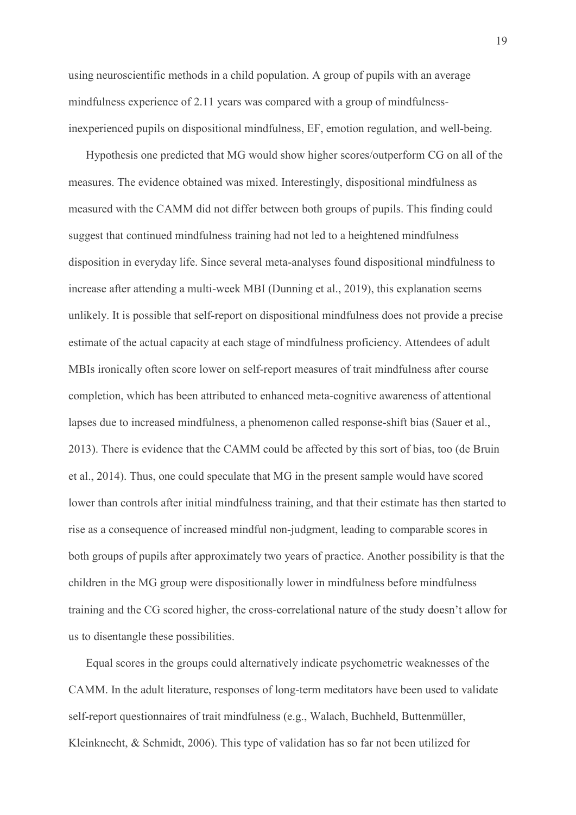using neuroscientific methods in a child population. A group of pupils with an average mindfulness experience of 2.11 years was compared with a group of mindfulnessinexperienced pupils on dispositional mindfulness, EF, emotion regulation, and well-being.

19<br>
Ig neuroscientific methods in a child population. A group of pupils with an average<br>
dfulness experience of 2.11 years was compared with a group of mindfulness-<br>
perienced pupils on dispositional mindfulness, EF, emoti measures. The evidence obtained was mixed. Interestingly, dispositional mindfulness as measured with the CAMM did not differ between both groups of pupils. This finding could suggest that continued mindfulness training had not led to a heightened mindfulness disposition in everyday life. Since several meta-analyses found dispositional mindfulness to increase after attending a multi-week MBI (Dunning et al., 2019), this explanation seems unlikely. It is possible that self-report on dispositional mindfulness does not provide a precise estimate of the actual capacity at each stage of mindfulness proficiency. Attendees of adult MBIs ironically often score lower on self-report measures of trait mindfulness after course completion, which has been attributed to enhanced meta-cognitive awareness of attentional lapses due to increased mindfulness, a phenomenon called response-shift bias (Sauer et al., 2013). There is evidence that the CAMM could be affected by this sort of bias, too (de Bruin suggest that continued mindfulness training had not led to a heightened mindfulness<br>disposition in everyday life. Since several meta-analyses found dispositional mindfulness to<br>increase after attending a multi-week MBI (Du lower than controls after initial mindfulness training, and that their estimate has then started to rise as a consequence of increased mindful non-judgment, leading to comparable scores in both groups of pupils after approximately two years of practice. Another possibility is that the children in the MG group were dispositionally lower in mindfulness before mindfulness training and the CG scored higher, the cross-correlational nature of the study doesn't allow for us to disentangle these possibilities. lower than controls after initial mindfulness training, and that their estimate has then started to rise as a consequence of increased mindful non-judgment, leading to comparable scores in both groups of pupils after appro

Equal scores in the groups could alternatively indicate psychometric weaknesses of the CAMM. In the adult literature, responses of long-term meditators have been used to validate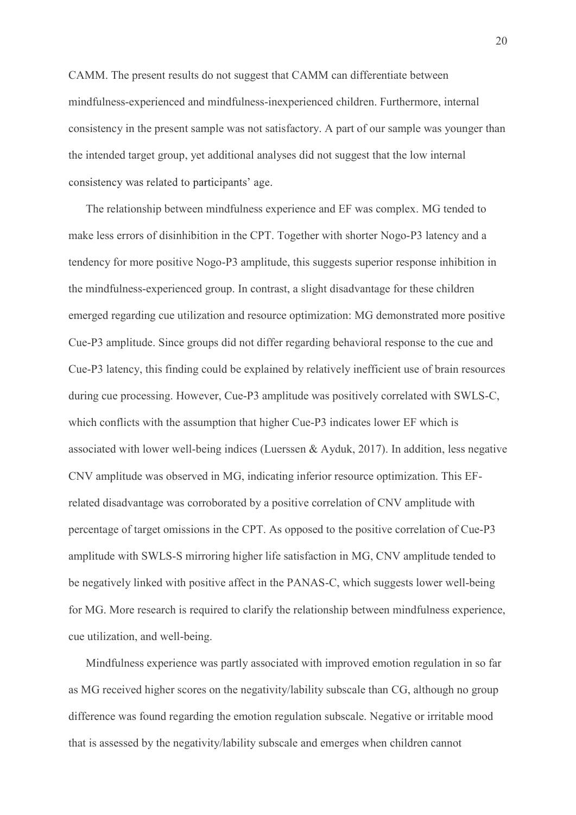CAMM. The present results do not suggest that CAMM can differentiate between mindfulness-experienced and mindfulness-inexperienced children. Furthermore, internal consistency in the present sample was not satisfactory. A part of our sample was younger than the intended target group, yet additional analyses did not suggest that the low internal 20<br>
MM. The present results do not suggest that CAMM can differentiate between<br>
dfulness-experienced and mindfulness-inexperienced children. Furthermore, internal<br>
sistency in the present sample was not satisfactory. A par

make less errors of disinhibition in the CPT. Together with shorter Nogo-P3 latency and a tendency for more positive Nogo-P3 amplitude, this suggests superior response inhibition in the mindfulness-experienced group. In contrast, a slight disadvantage for these children CAMM. The present results do not suggest that CAMM can differentiate between<br>mindfulness-experienced and mindfulness-inexperienced children. Furthermore, internal<br>consistency in the present sample was not satisfactory. A p Cue-P3 amplitude. Since groups did not differ regarding behavioral response to the cue and Cue-P3 latency, this finding could be explained by relatively inefficient use of brain resources during cue processing. However, Cue-P3 amplitude was positively correlated with SWLS-C, which conflicts with the assumption that higher Cue-P3 indicates lower EF which is associated with lower well-being indices (Luerssen & Ayduk, 2017). In addition, less negative CNV amplitude was observed in MG, indicating inferior resource optimization. This EFrelated disadvantage was corroborated by a positive correlation of CNV amplitude with the mindfulness-experienced group. In contrast, a slight disadvantage for these children<br>emerged regarding cue utilization and resource optimization: MG demonstrated more positive<br>Cue-P3 amplitude. Since groups did not dif amplitude with SWLS-S mirroring higher life satisfaction in MG, CNV amplitude tended to be negatively linked with positive affect in the PANAS-C, which suggests lower well-being for MG. More research is required to clarify the relationship between mindfulness experience, cue utilization, and well-being. associated with lower well-being indices (Luersen & Ayduk, 2017). In addition, less negative<br>CNV amplitude was observed in MG, indicating inferior resource optimization. This EF-<br>related disadvantage was corroborated by a

Mindfulness experience was partly associated with improved emotion regulation in so far difference was found regarding the emotion regulation subscale. Negative or irritable mood that is assessed by the negativity/lability subscale and emerges when children cannot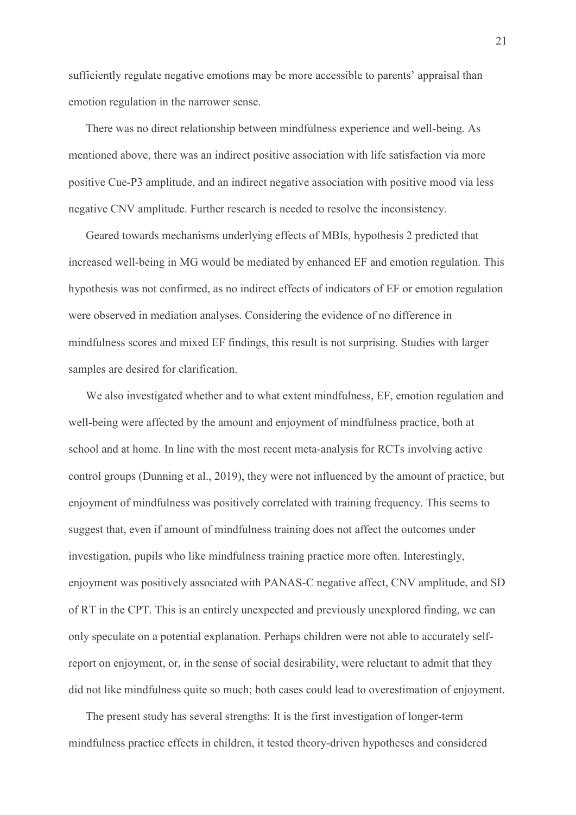sufficiently regulate negative emotions may be more accessible to parents' appraisal than emotion regulation in the narrower sense.

There was no direct relationship between mindfulness experience and well-being. As mentioned above, there was an indirect positive association with life satisfaction via more positive Cue-P3 amplitude, and an indirect negative association with positive mood via less negative CNV amplitude. Further research is needed to resolve the inconsistency.

Geared towards mechanisms underlying effects of MBIs, hypothesis 2 predicted that 21<br>sufficiently regulate negative emotions may be more accessible to parents' appraisal than<br>emotion regulation in the narrower sense.<br>There was no direct relationship between mindfulness experience and well-being. As<br>ment hypothesis was not confirmed, as no indirect effects of indicators of EF or emotion regulation were observed in mediation analyses. Considering the evidence of no difference in emotion regulation in the narrower sense.<br>
There was no direct relationship between mindfulness experience and well-being. As<br>
mentioned above, there was an indirect positive association with hife satisfaction via more<br>
po samples are desired for clarification.

We also investigated whether and to what extent mindfulness, EF, emotion regulation and well-being were affected by the amount and enjoyment of mindfulness practice, both at school and at home. In line with the most recent meta-analysis for RCTs involving active control groups (Dunning et al., 2019), they were not influenced by the amount of practice, but enjoyment of mindfulness was positively correlated with training frequency. This seems to suggest that, even if amount of mindfulness training does not affect the outcomes under investigation, pupils who like mindfulness training practice more often. Interestingly, enjoyment was positively associated with PANAS-C negative affect, CNV amplitude, and SD samples are desired for clarification.<br>We also investigated whether and to what extent mindfulness, EF, emotion regulation and<br>well-being were affected by the amount and enjoyment of mindfulness practice, both at<br>school an only speculate on a potential explanation. Perhaps children were not able to accurately selfreport on enjoyment, or, in the sense of social desirability, were reluctant to admit that they did not like mindfulness quite so much; both cases could lead to overestimation of enjoyment. enjoyment of mindfulness was positively correlated with training frequency. This seems to suggest that, even if amount of mindfulness training does not affect the outcomes under investigation, pupils who like mindfulness t

The present study has several strengths: It is the first investigation of longer-term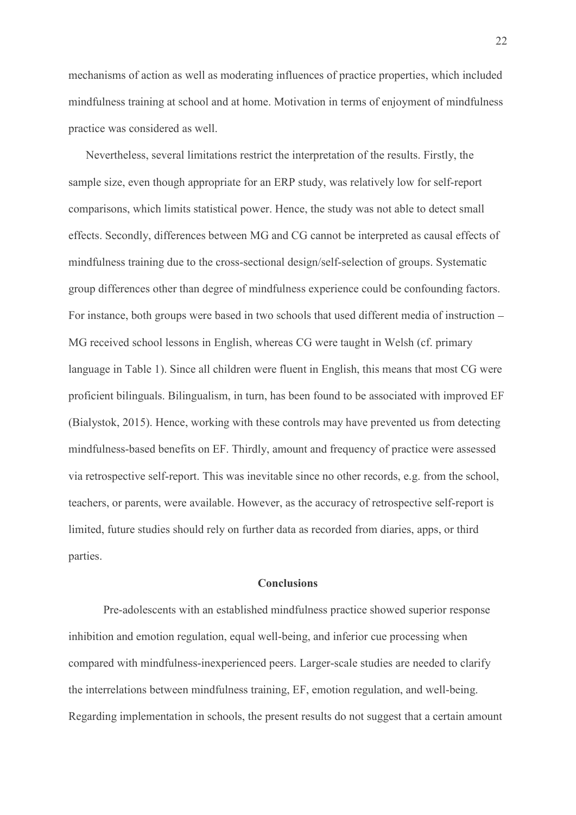mechanisms of action as well as moderating influences of practice properties, which included mindfulness training at school and at home. Motivation in terms of enjoyment of mindfulness practice was considered as well.

Nevertheless, several limitations restrict the interpretation of the results. Firstly, the sample size, even though appropriate for an ERP study, was relatively low for self-report comparisons, which limits statistical power. Hence, the study was not able to detect small 22<br>emcchanisms of action as well as moderating influences of practice properties, which included<br>mindfulness training at school and at home. Motivation in terms of enjoyment of mindfulness<br>practice was considered as well.<br> mindfulness training due to the cross-sectional design/self-selection of groups. Systematic group differences other than degree of mindfulness experience could be confounding factors. For instance, both groups were based in two schools that used different media of instruction mindfulness training at sehool and at home. Motivation in terms of enjoyment of mindfulness<br>practice was considered as well.<br>Nevertheless, several limitations restrict the interpretation of the results. Firstly, the<br>sample language in Table 1). Since all children were fluent in English, this means that most CG were proficient bilinguals. Bilingualism, in turn, has been found to be associated with improved EF (Bialystok, 2015). Hence, working with these controls may have prevented us from detecting mindfulness-based benefits on EF. Thirdly, amount and frequency of practice were assessed via retrospective self-report. This was inevitable since no other records, e.g. from the school, teachers, or parents, were available. However, as the accuracy of retrospective self-report is limited, future studies should rely on further data as recorded from diaries, apps, or third parties. language in Table 1). Since all children were fluent in English, this means that most CG were<br>proficient bilinguals. Bilingualism, in turn, has been found to be associated with improved EF<br>(Bialystok, 2015). Hence, working

### **Conclusions**

inhibition and emotion regulation, equal well-being, and inferior cue processing when compared with mindfulness-inexperienced peers. Larger-scale studies are needed to clarify the interrelations between mindfulness training, EF, emotion regulation, and well-being. Regarding implementation in schools, the present results do not suggest that a certain amount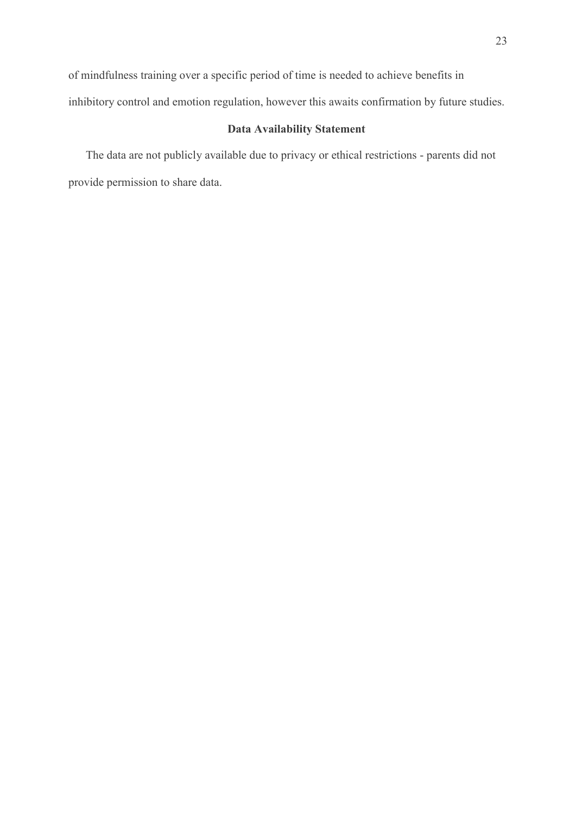of mindfulness training over a specific period of time is needed to achieve benefits in inhibitory control and emotion regulation, however this awaits confirmation by future studies.

### Data Availability Statement

The data are not publicly available due to privacy or ethical restrictions - parents did not provide permission to share data.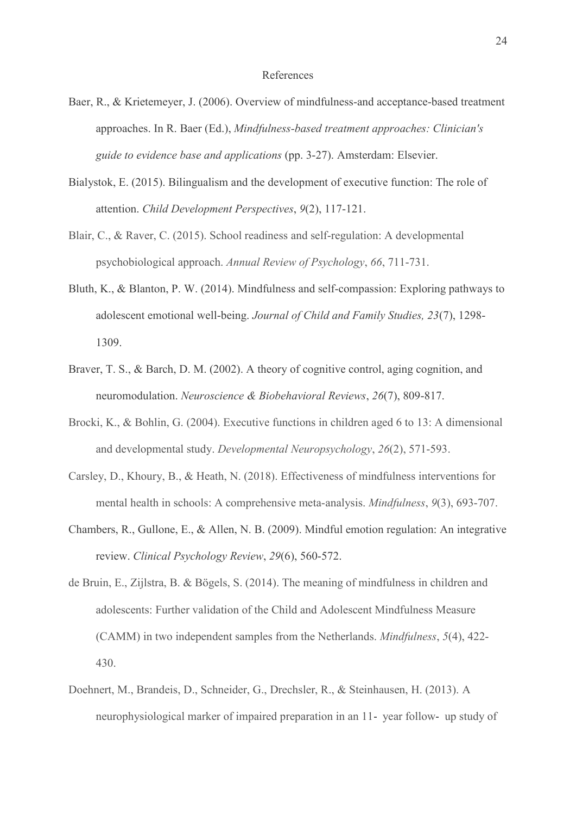### References

- Baer, R., & Krietemeyer, J. (2006). Overview of mindfulness-and acceptance-based treatment approaches. In R. Baer (Ed.), Mindfulness-based treatment approaches: Clinician's R., & Krietemeyer, J. (2006). Overview of mindfulness-and acceptance-based treatment<br>approaches. In R. Baer (Ed.), *Mindfulness-based treatment approaches: Clinician's*<br>guide to evidence base and applications (pp. 3-27). A
- Bialystok, E. (2015). Bilingualism and the development of executive function: The role of attention. Child Development Perspectives, 9(2), 117-121.
- Blair, C., & Raver, C. (2015). School readiness and self-regulation: A developmental psychobiological approach. Annual Review of Psychology, 66, 711-731.
- Bluth, K., & Blanton, P. W. (2014). Mindfulness and self-compassion: Exploring pathways to adolescent emotional well-being. Journal of Child and Family Studies, 23(7), 1298- 1309.
- Braver, T. S., & Barch, D. M. (2002). A theory of cognitive control, aging cognition, and neuromodulation. Neuroscience & Biobehavioral Reviews, 26(7), 809-817.
- Brocki, K., & Bohlin, G. (2004). Executive functions in children aged 6 to 13: A dimensional and developmental study. Developmental Neuropsychology, 26(2), 571-593.
- Carsley, D., Khoury, B., & Heath, N. (2018). Effectiveness of mindfulness interventions for mental health in schools: A comprehensive meta-analysis. Mindfulness, 9(3), 693-707.
- Chambers, R., Gullone, E., & Allen, N. B. (2009). Mindful emotion regulation: An integrative review. Clinical Psychology Review, 29(6), 560-572.
- de Bruin, E., Zijlstra, B. & Bögels, S. (2014). The meaning of mindfulness in children and adolescents: Further validation of the Child and Adolescent Mindfulness Measure (CAMM) in two independent samples from the Netherlands. Mindfulness, 5(4), 422- 430.
- Doehnert, M., Brandeis, D., Schneider, G., Drechsler, R., & Steinhausen, H. (2013). A neurophysiological marker of impaired preparation in an 11- year follow- up study of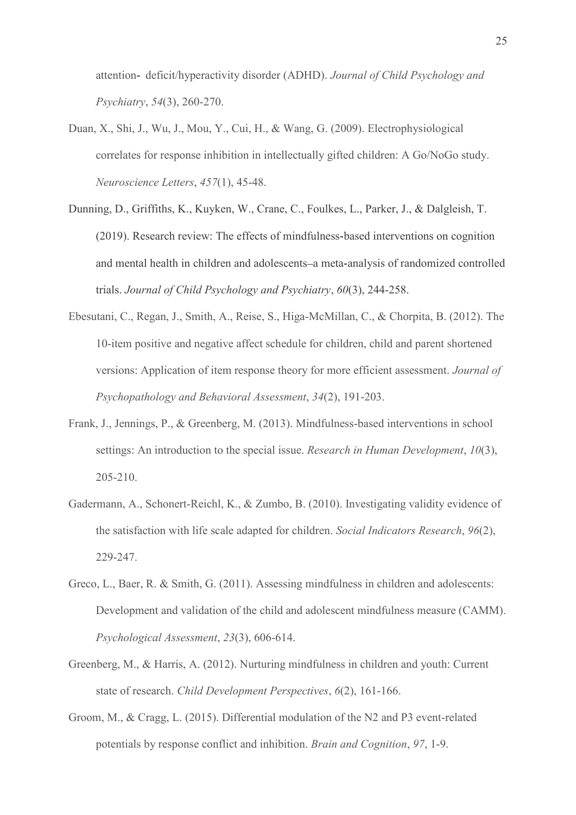attention- deficit/hyperactivity disorder (ADHD). Journal of Child Psychology and Psychiatry, 54(3), 260-270.

- Duan, X., Shi, J., Wu, J., Mou, Y., Cui, H., & Wang, G. (2009). Electrophysiological correlates for response inhibition in intellectually gifted children: A Go/NoGo study. Neuroscience Letters, 457(1), 45-48.
- Dunning, D., Griffiths, K., Kuyken, W., Crane, C., Foulkes, L., Parker, J., & Dalgleish, T. (2019). Research review: The effects of mindfulness based interventions on cognition and mental health in children and adolescents-a meta-analysis of randomized controlled trials. Journal of Child Psychology and Psychiatry, 60(3), 244-258.
- Ebesutani, C., Regan, J., Smith, A., Reise, S., Higa-McMillan, C., & Chorpita, B. (2012). The 10-item positive and negative affect schedule for children, child and parent shortened versions: Application of item response theory for more efficient assessment. Journal of Psychopathology and Behavioral Assessment, 34(2), 191-203.
- Frank, J., Jennings, P., & Greenberg, M. (2013). Mindfulness-based interventions in school settings: An introduction to the special issue. Research in Human Development, 10(3), 205-210.
- Gadermann, A., Schonert-Reichl, K., & Zumbo, B. (2010). Investigating validity evidence of the satisfaction with life scale adapted for children. Social Indicators Research, 96(2), 229-247.
- Greco, L., Baer, R. & Smith, G. (2011). Assessing mindfulness in children and adolescents: Development and validation of the child and adolescent mindfulness measure (CAMM). Psychological Assessment, 23(3), 606-614.
- Greenberg, M., & Harris, A. (2012). Nurturing mindfulness in children and youth: Current state of research. Child Development Perspectives, 6(2), 161-166.
- Groom, M., & Cragg, L. (2015). Differential modulation of the N2 and P3 event-related potentials by response conflict and inhibition. Brain and Cognition, 97, 1-9.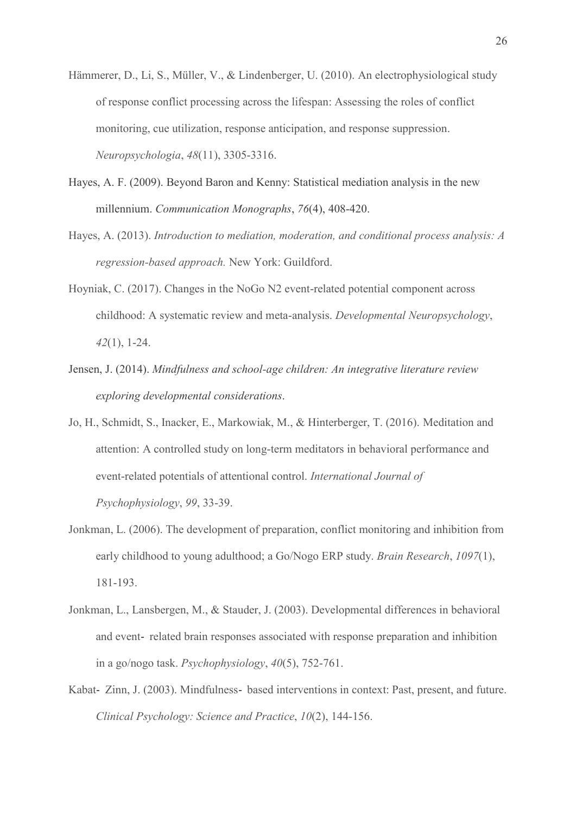- Hämmerer, D., Li, S., Müller, V., & Lindenberger, U. (2010). An electrophysiological study of response conflict processing across the lifespan: Assessing the roles of conflict monitoring, cue utilization, response anticipation, and response suppression. Neuropsychologia, 48(11), 3305-3316.
- Hayes, A. F. (2009). Beyond Baron and Kenny: Statistical mediation analysis in the new millennium. Communication Monographs, 76(4), 408-420.
- Hayes, A. (2013). Introduction to mediation, moderation, and conditional process analysis: A regression-based approach. New York: Guildford.
- Hoyniak, C. (2017). Changes in the NoGo N2 event-related potential component across childhood: A systematic review and meta-analysis. Developmental Neuropsychology, 42(1), 1-24.
- Jensen, J. (2014). Mindfulness and school-age children: An integrative literature review exploring developmental considerations.
- Jo, H., Schmidt, S., Inacker, E., Markowiak, M., & Hinterberger, T. (2016). Meditation and attention: A controlled study on long-term meditators in behavioral performance and event-related potentials of attentional control. International Journal of Psychophysiology, 99, 33-39.
- Jonkman, L. (2006). The development of preparation, conflict monitoring and inhibition from early childhood to young adulthood; a Go/Nogo ERP study. Brain Research, 1097(1), 181-193.
- Jonkman, L., Lansbergen, M., & Stauder, J. (2003). Developmental differences in behavioral and event-related brain responses associated with response preparation and inhibition in a go/nogo task. Psychophysiology, 40(5), 752-761.
- Kabat- Zinn, J. (2003). Mindfulness- based interventions in context: Past, present, and future. Clinical Psychology: Science and Practice, 10(2), 144-156.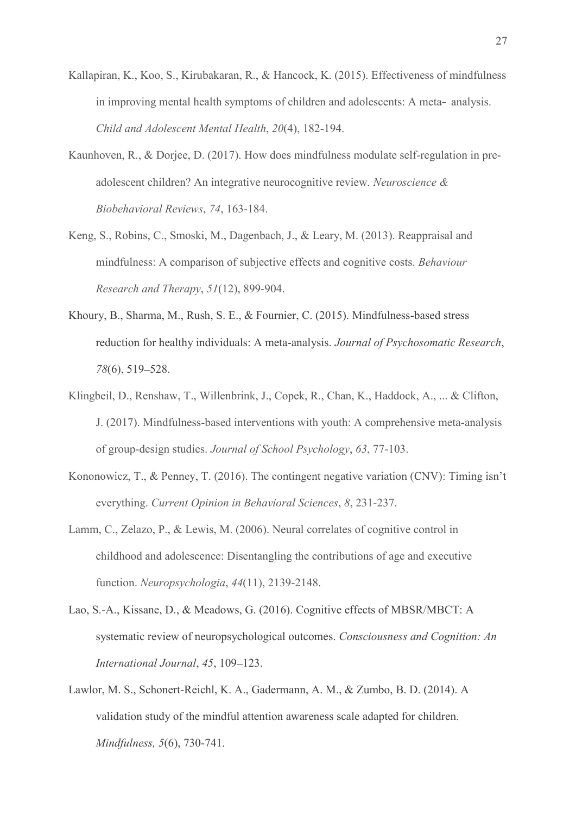- Kallapiran, K., Koo, S., Kirubakaran, R., & Hancock, K. (2015). Effectiveness of mindfulness in improving mental health symptoms of children and adolescents: A meta- analysis. Child and Adolescent Mental Health, 20(4), 182-194.
- Kaunhoven, R., & Dorjee, D. (2017). How does mindfulness modulate self-regulation in preadolescent children? An integrative neurocognitive review. Neuroscience & Biobehavioral Reviews, 74, 163-184.
- Keng, S., Robins, C., Smoski, M., Dagenbach, J., & Leary, M. (2013). Reappraisal and mindfulness: A comparison of subjective effects and cognitive costs. Behaviour Research and Therapy,  $51(12)$ , 899-904.
- Khoury, B., Sharma, M., Rush, S. E., & Fournier, C. (2015). Mindfulness-based stress reduction for healthy individuals: A meta-analysis. Journal of Psychosomatic Research, 78(6), 519–528.
- Klingbeil, D., Renshaw, T., Willenbrink, J., Copek, R., Chan, K., Haddock, A., ... & Clifton, J. (2017). Mindfulness-based interventions with youth: A comprehensive meta-analysis of group-design studies. Journal of School Psychology, 63, 77-103.
- Kononowicz, T., & Penney, T. (2016). The contingent negative variation (CNV): Timing isn't everything. Current Opinion in Behavioral Sciences, 8, 231-237.
- Lamm, C., Zelazo, P., & Lewis, M. (2006). Neural correlates of cognitive control in childhood and adolescence: Disentangling the contributions of age and executive function. Neuropsychologia, 44(11), 2139-2148.
- Lao, S.-A., Kissane, D., & Meadows, G. (2016). Cognitive effects of MBSR/MBCT: A systematic review of neuropsychological outcomes. Consciousness and Cognition: An International Journal, 45, 109-123.
- Lawlor, M. S., Schonert-Reichl, K. A., Gadermann, A. M., & Zumbo, B. D. (2014). A validation study of the mindful attention awareness scale adapted for children. Mindfulness, 5(6), 730-741.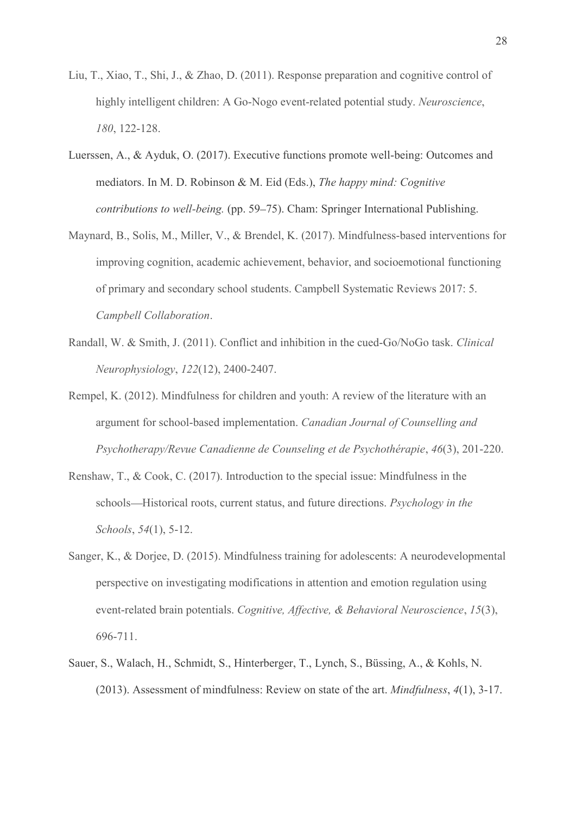- Liu, T., Xiao, T., Shi, J., & Zhao, D. (2011). Response preparation and cognitive control of highly intelligent children: A Go-Nogo event-related potential study. Neuroscience, 180, 122-128.
- Luerssen, A., & Ayduk, O. (2017). Executive functions promote well-being: Outcomes and mediators. In M. D. Robinson & M. Eid (Eds.), The happy mind: Cognitive contributions to well-being. (pp. 59–75). Cham: Springer International Publishing.
- Maynard, B., Solis, M., Miller, V., & Brendel, K. (2017). Mindfulness-based interventions for improving cognition, academic achievement, behavior, and socioemotional functioning of primary and secondary school students. Campbell Systematic Reviews 2017: 5. Campbell Collaboration.<br>
Randall, W. & Smith, J. (2011). Conflict and inhibition in the cued-Go/NoGo task. Clinical
- Neurophysiology, 122(12), 2400-2407.
- Rempel, K. (2012). Mindfulness for children and youth: A review of the literature with an argument for school-based implementation. Canadian Journal of Counselling and Psychotherapy/Revue Canadienne de Counseling et de Psychothérapie, 46(3), 201-220.
- Renshaw, T., & Cook, C. (2017). Introduction to the special issue: Mindfulness in the schools—Historical roots, current status, and future directions. Psychology in the Schools, 54(1), 5-12.
- Sanger, K., & Dorjee, D. (2015). Mindfulness training for adolescents: A neurodevelopmental perspective on investigating modifications in attention and emotion regulation using event-related brain potentials. Cognitive, Affective, & Behavioral Neuroscience, 15(3), 696-711.
- Sauer, S., Walach, H., Schmidt, S., Hinterberger, T., Lynch, S., Büssing, A., & Kohls, N. (2013). Assessment of mindfulness: Review on state of the art. *Mindfulness*,  $4(1)$ ,  $3-17$ .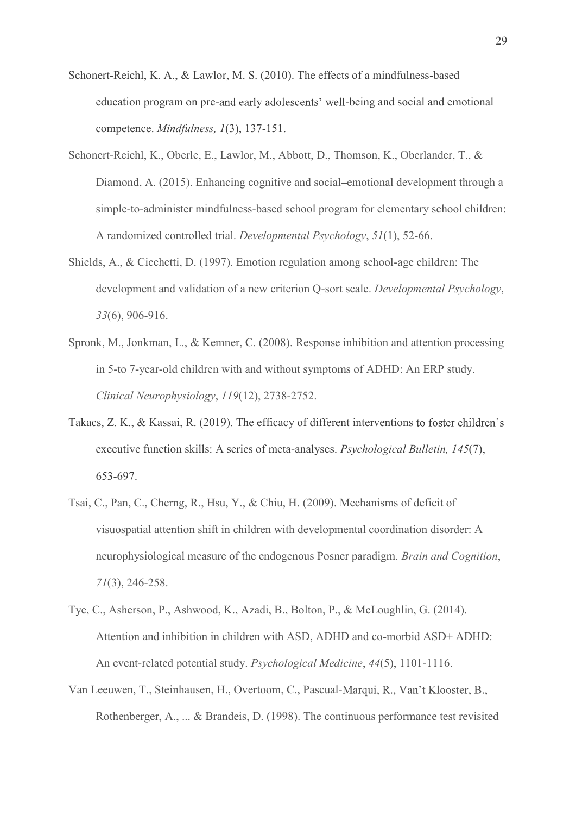- Schonert-Reichl, K. A., & Lawlor, M. S. (2010). The effects of a mindfulness-based education program on pre-and early adolescents' well-being and social and emotional competence. Mindfulness, 1(3), 137-151.
- Schonert-Reichl, K., Oberle, E., Lawlor, M., Abbott, D., Thomson, K., Oberlander, T., & Diamond, A. (2015). Enhancing cognitive and social-emotional development through a simple-to-administer mindfulness-based school program for elementary school children: A randomized controlled trial. Developmental Psychology, 51(1), 52-66.
- Shields, A., & Cicchetti, D. (1997). Emotion regulation among school-age children: The development and validation of a new criterion Q-sort scale. Developmental Psychology, 33(6), 906-916.
- Spronk, M., Jonkman, L., & Kemner, C. (2008). Response inhibition and attention processing in 5-to 7-year-old children with and without symptoms of ADHD: An ERP study. Clinical Neurophysiology, 119(12), 2738-2752.
- Takacs, Z. K., & Kassai, R. (2019). The efficacy of different interventions to foster children's executive function skills: A series of meta-analyses. Psychological Bulletin, 145(7), 653-697.
- Tsai, C., Pan, C., Cherng, R., Hsu, Y., & Chiu, H. (2009). Mechanisms of deficit of visuospatial attention shift in children with developmental coordination disorder: A neurophysiological measure of the endogenous Posner paradigm. Brain and Cognition, 71(3), 246-258.
- Tye, C., Asherson, P., Ashwood, K., Azadi, B., Bolton, P., & McLoughlin, G. (2014). Attention and inhibition in children with ASD, ADHD and co-morbid ASD+ ADHD: An event-related potential study. Psychological Medicine, 44(5), 1101-1116.
- Van Leeuwen, T., Steinhausen, H., Overtoom, C., Pascual-Rothenberger, A., ... & Brandeis, D. (1998). The continuous performance test revisited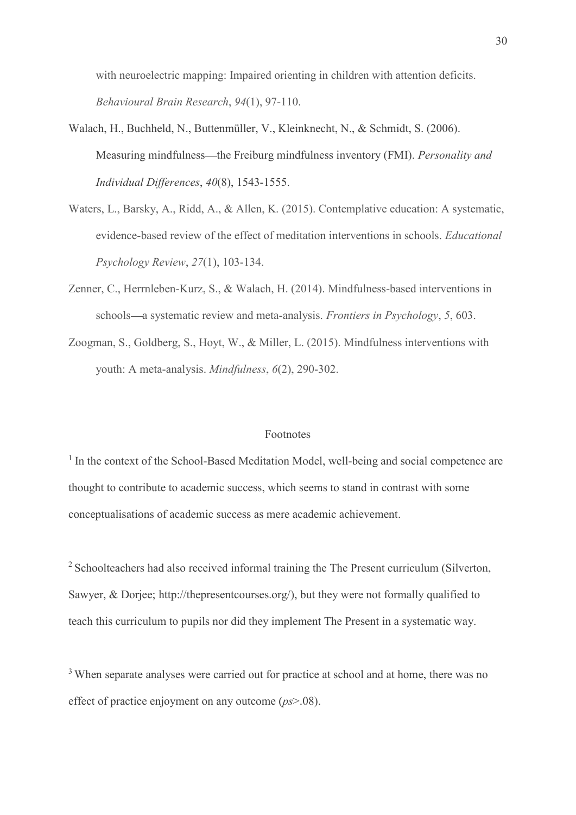with neuroelectric mapping: Impaired orienting in children with attention deficits. Behavioural Brain Research, 94(1), 97-110.

- Walach, H., Buchheld, N., Buttenmüller, V., Kleinknecht, N., & Schmidt, S. (2006). Measuring mindfulness—the Freiburg mindfulness inventory (FMI). Personality and Individual Differences, 40(8), 1543-1555.
- Waters, L., Barsky, A., Ridd, A., & Allen, K. (2015). Contemplative education: A systematic, evidence-based review of the effect of meditation interventions in schools. Educational Psychology Review, 27(1), 103-134.
- Zenner, C., Herrnleben-Kurz, S., & Walach, H. (2014). Mindfulness-based interventions in schools—a systematic review and meta-analysis. Frontiers in Psychology, 5, 603.
- Zoogman, S., Goldberg, S., Hoyt, W., & Miller, L. (2015). Mindfulness interventions with youth: A meta-analysis. Mindfulness, 6(2), 290-302.

### Footnotes

<sup>1</sup> In the context of the School-Based Meditation Model, well-being and social competence are thought to contribute to academic success, which seems to stand in contrast with some conceptualisations of academic success as mere academic achievement.

<sup>2</sup> Schoolteachers had also received informal training the The Present curriculum (Silverton, Sawyer, & Dorjee; http://thepresentcourses.org/), but they were not formally qualified to teach this curriculum to pupils nor did they implement The Present in a systematic way.

<sup>3</sup> When separate analyses were carried out for practice at school and at home, there was no effect of practice enjoyment on any outcome  $(p_s > .08)$ .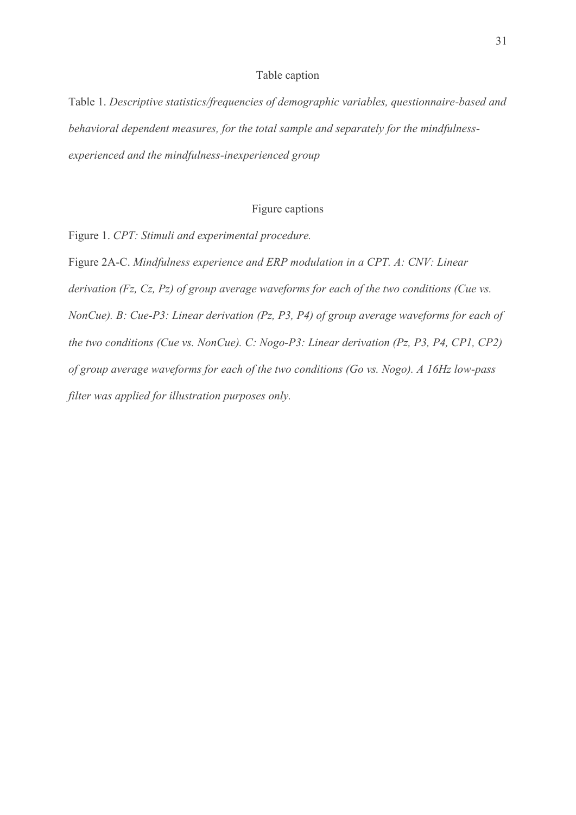### Table caption

Table 1. Descriptive statistics/frequencies of demographic variables, questionnaire-based and behavioral dependent measures, for the total sample and separately for the mindfulnessexperienced and the mindfulness-inexperienced group

### Figure captions

Figure 1. CPT: Stimuli and experimental procedure.

Figure 2A-C. Mindfulness experience and ERP modulation in a CPT. A: CNV: Linear derivation (Fz, Cz, Pz) of group average waveforms for each of the two conditions (Cue vs. NonCue). B: Cue-P3: Linear derivation (Pz, P3, P4) of group average waveforms for each of the two conditions (Cue vs. NonCue). C: Nogo-P3: Linear derivation (Pz, P3, P4, CP1, CP2) of group average waveforms for each of the two conditions (Go vs. Nogo). A 16Hz low-pass filter was applied for illustration purposes only.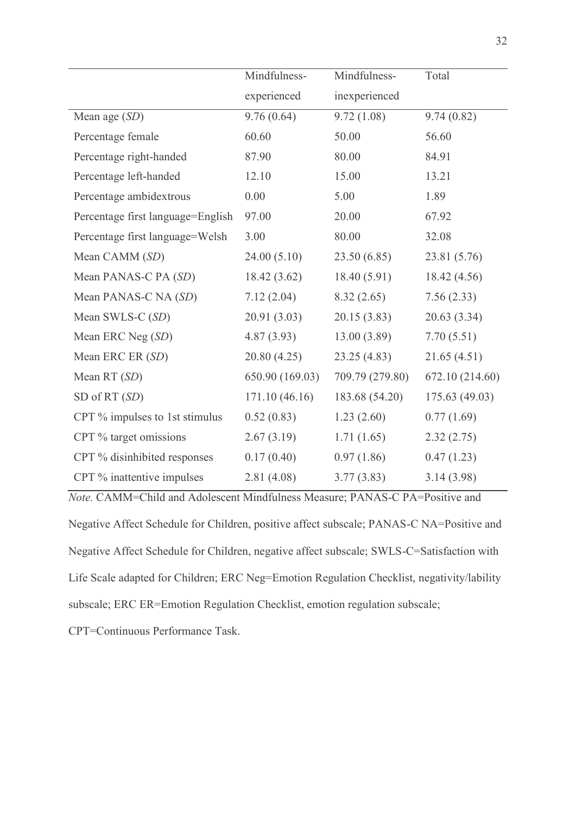|                                   |                             |                               | 32              |
|-----------------------------------|-----------------------------|-------------------------------|-----------------|
|                                   | Mindfulness-<br>experienced | Mindfulness-<br>inexperienced | Total           |
|                                   |                             |                               |                 |
| Mean age $(SD)$                   | 9.76(0.64)                  | 9.72(1.08)                    | 9.74(0.82)      |
| Percentage female                 | 60.60                       | 50.00                         | 56.60           |
| Percentage right-handed           | 87.90                       | 80.00                         | 84.91           |
| Percentage left-handed            | 12.10                       | 15.00                         | 13.21           |
| Percentage ambidextrous           | 0.00                        | 5.00                          | 1.89            |
| Percentage first language=English | 97.00                       | 20.00                         | 67.92           |
| Percentage first language=Welsh   | 3.00                        | 80.00                         | 32.08           |
| Mean CAMM (SD)                    | 24.00(5.10)                 | 23.50(6.85)                   | 23.81 (5.76)    |
| Mean PANAS-C PA (SD)              | 18.42 (3.62)                | 18.40 (5.91)                  | 18.42(4.56)     |
| Mean PANAS-C NA (SD)              | 7.12(2.04)                  | 8.32(2.65)                    | 7.56(2.33)      |
| Mean SWLS-C $(SD)$                | 20.91(3.03)                 | 20.15(3.83)                   | 20.63(3.34)     |
| Mean ERC Neg $(SD)$               | 4.87(3.93)                  | 13.00(3.89)                   | 7.70(5.51)      |
| Mean ERC ER (SD)                  | 20.80(4.25)                 | 23.25(4.83)                   | 21.65(4.51)     |
| Mean RT $(SD)$                    | 650.90 (169.03)             | 709.79 (279.80)               | 672.10 (214.60) |
| SD of RT (SD)                     | 171.10(46.16)               | 183.68 (54.20)                | 175.63 (49.03)  |
| CPT % impulses to 1st stimulus    | 0.52(0.83)                  | 1.23(2.60)                    | 0.77(1.69)      |
| CPT % target omissions            | 2.67(3.19)                  | 1.71(1.65)                    | 2.32(2.75)      |
| CPT % disinhibited responses      | 0.17(0.40)                  | 0.97(1.86)                    | 0.47(1.23)      |
| CPT % inattentive impulses        | 2.81(4.08)                  | 3.77(3.83)                    | 3.14(3.98)      |

Negative Affect Schedule for Children, positive affect subscale; PANAS-C NA=Positive and Negative Affect Schedule for Children, negative affect subscale; SWLS-C=Satisfaction with Life Scale adapted for Children; ERC Neg=Emotion Regulation Checklist, negativity/lability subscale; ERC ER=Emotion Regulation Checklist, emotion regulation subscale;

CPT=Continuous Performance Task.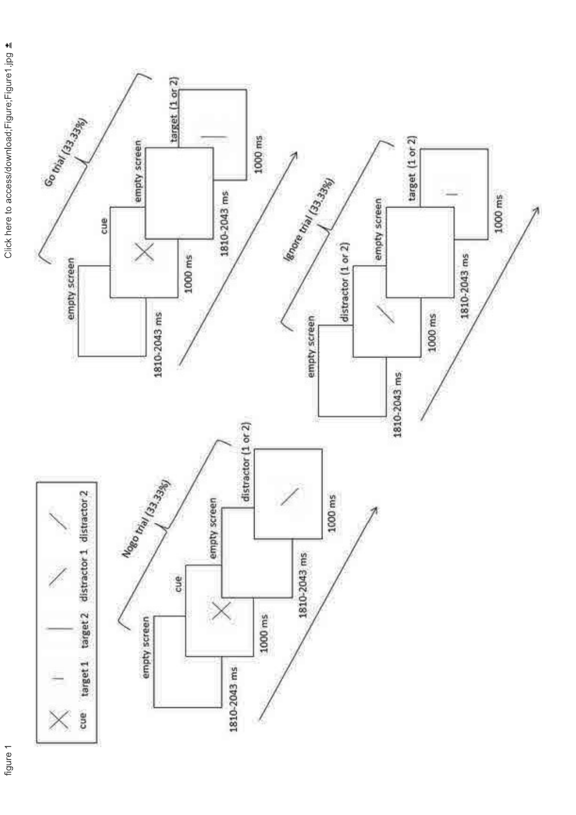

figure 1